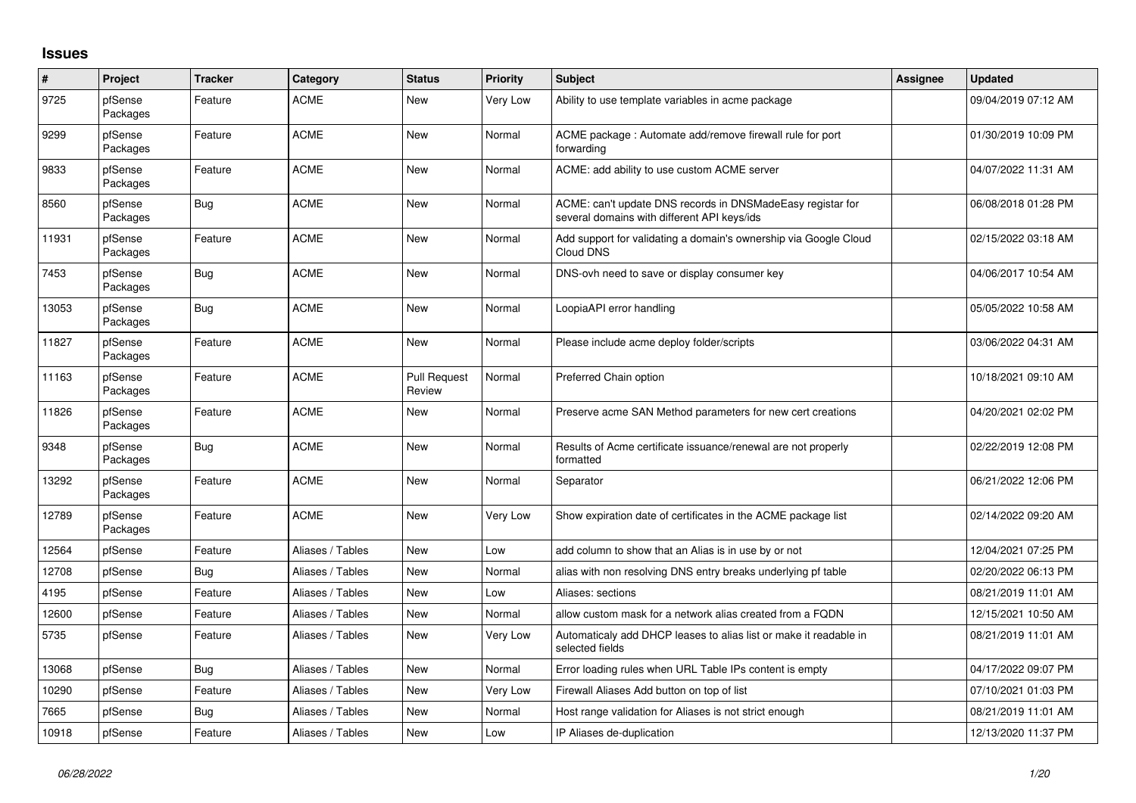## **Issues**

| $\#$  | Project             | <b>Tracker</b> | Category         | <b>Status</b>                 | Priority | <b>Subject</b>                                                                                            | <b>Assignee</b> | <b>Updated</b>      |
|-------|---------------------|----------------|------------------|-------------------------------|----------|-----------------------------------------------------------------------------------------------------------|-----------------|---------------------|
| 9725  | pfSense<br>Packages | Feature        | <b>ACME</b>      | <b>New</b>                    | Very Low | Ability to use template variables in acme package                                                         |                 | 09/04/2019 07:12 AM |
| 9299  | pfSense<br>Packages | Feature        | <b>ACME</b>      | <b>New</b>                    | Normal   | ACME package: Automate add/remove firewall rule for port<br>forwarding                                    |                 | 01/30/2019 10:09 PM |
| 9833  | pfSense<br>Packages | Feature        | <b>ACME</b>      | <b>New</b>                    | Normal   | ACME: add ability to use custom ACME server                                                               |                 | 04/07/2022 11:31 AM |
| 8560  | pfSense<br>Packages | <b>Bug</b>     | <b>ACME</b>      | New                           | Normal   | ACME: can't update DNS records in DNSMadeEasy registar for<br>several domains with different API keys/ids |                 | 06/08/2018 01:28 PM |
| 11931 | pfSense<br>Packages | Feature        | <b>ACME</b>      | <b>New</b>                    | Normal   | Add support for validating a domain's ownership via Google Cloud<br>Cloud DNS                             |                 | 02/15/2022 03:18 AM |
| 7453  | pfSense<br>Packages | <b>Bug</b>     | <b>ACME</b>      | New                           | Normal   | DNS-ovh need to save or display consumer key                                                              |                 | 04/06/2017 10:54 AM |
| 13053 | pfSense<br>Packages | <b>Bug</b>     | <b>ACME</b>      | <b>New</b>                    | Normal   | LoopiaAPI error handling                                                                                  |                 | 05/05/2022 10:58 AM |
| 11827 | pfSense<br>Packages | Feature        | <b>ACME</b>      | <b>New</b>                    | Normal   | Please include acme deploy folder/scripts                                                                 |                 | 03/06/2022 04:31 AM |
| 11163 | pfSense<br>Packages | Feature        | <b>ACME</b>      | <b>Pull Request</b><br>Review | Normal   | Preferred Chain option                                                                                    |                 | 10/18/2021 09:10 AM |
| 11826 | pfSense<br>Packages | Feature        | <b>ACME</b>      | New                           | Normal   | Preserve acme SAN Method parameters for new cert creations                                                |                 | 04/20/2021 02:02 PM |
| 9348  | pfSense<br>Packages | <b>Bug</b>     | <b>ACME</b>      | New                           | Normal   | Results of Acme certificate issuance/renewal are not properly<br>formatted                                |                 | 02/22/2019 12:08 PM |
| 13292 | pfSense<br>Packages | Feature        | <b>ACME</b>      | <b>New</b>                    | Normal   | Separator                                                                                                 |                 | 06/21/2022 12:06 PM |
| 12789 | pfSense<br>Packages | Feature        | <b>ACME</b>      | New                           | Very Low | Show expiration date of certificates in the ACME package list                                             |                 | 02/14/2022 09:20 AM |
| 12564 | pfSense             | Feature        | Aliases / Tables | <b>New</b>                    | Low      | add column to show that an Alias is in use by or not                                                      |                 | 12/04/2021 07:25 PM |
| 12708 | pfSense             | <b>Bug</b>     | Aliases / Tables | New                           | Normal   | alias with non resolving DNS entry breaks underlying pf table                                             |                 | 02/20/2022 06:13 PM |
| 4195  | pfSense             | Feature        | Aliases / Tables | New                           | Low      | Aliases: sections                                                                                         |                 | 08/21/2019 11:01 AM |
| 12600 | pfSense             | Feature        | Aliases / Tables | <b>New</b>                    | Normal   | allow custom mask for a network alias created from a FQDN                                                 |                 | 12/15/2021 10:50 AM |
| 5735  | pfSense             | Feature        | Aliases / Tables | New                           | Very Low | Automaticaly add DHCP leases to alias list or make it readable in<br>selected fields                      |                 | 08/21/2019 11:01 AM |
| 13068 | pfSense             | <b>Bug</b>     | Aliases / Tables | <b>New</b>                    | Normal   | Error loading rules when URL Table IPs content is empty                                                   |                 | 04/17/2022 09:07 PM |
| 10290 | pfSense             | Feature        | Aliases / Tables | New                           | Very Low | Firewall Aliases Add button on top of list                                                                |                 | 07/10/2021 01:03 PM |
| 7665  | pfSense             | Bug            | Aliases / Tables | <b>New</b>                    | Normal   | Host range validation for Aliases is not strict enough                                                    |                 | 08/21/2019 11:01 AM |
| 10918 | pfSense             | Feature        | Aliases / Tables | New                           | Low      | IP Aliases de-duplication                                                                                 |                 | 12/13/2020 11:37 PM |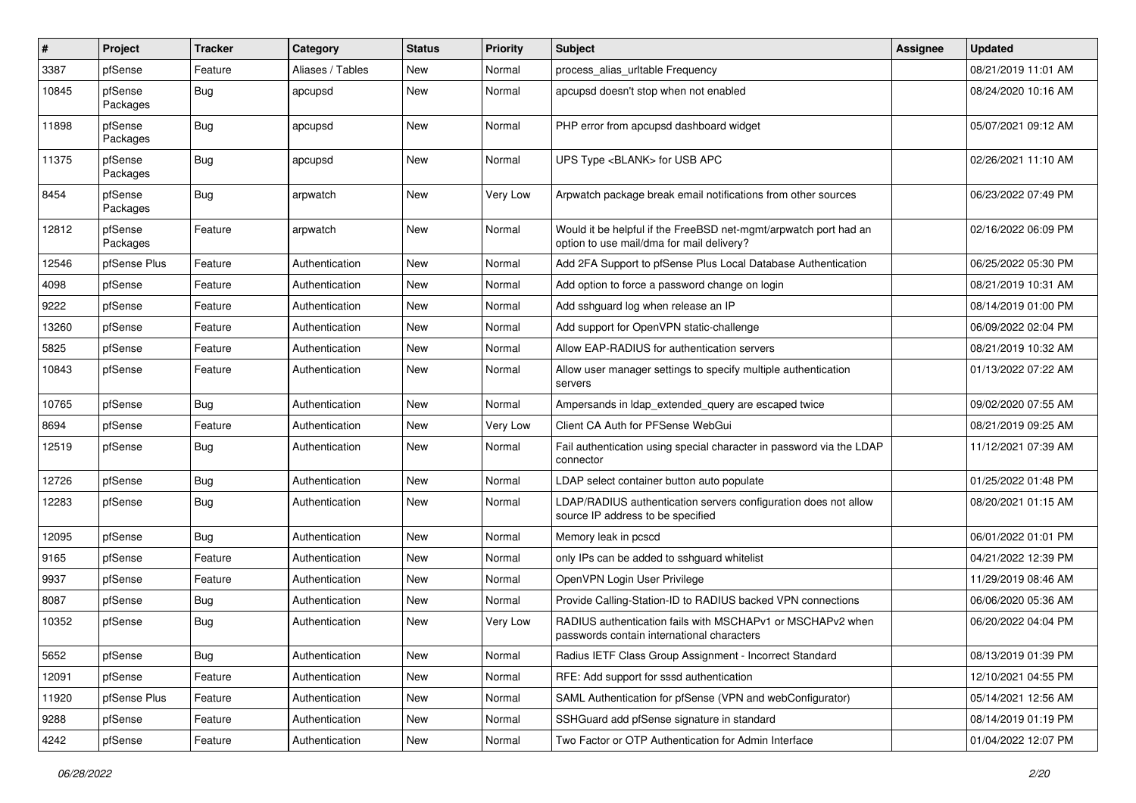| #     | Project             | Tracker    | Category         | <b>Status</b> | <b>Priority</b> | <b>Subject</b>                                                                                                | Assignee | <b>Updated</b>      |
|-------|---------------------|------------|------------------|---------------|-----------------|---------------------------------------------------------------------------------------------------------------|----------|---------------------|
| 3387  | pfSense             | Feature    | Aliases / Tables | New           | Normal          | process alias urltable Frequency                                                                              |          | 08/21/2019 11:01 AM |
| 10845 | pfSense<br>Packages | <b>Bug</b> | apcupsd          | New           | Normal          | apcupsd doesn't stop when not enabled                                                                         |          | 08/24/2020 10:16 AM |
| 11898 | pfSense<br>Packages | <b>Bug</b> | apcupsd          | New           | Normal          | PHP error from apcupsd dashboard widget                                                                       |          | 05/07/2021 09:12 AM |
| 11375 | pfSense<br>Packages | Bug        | apcupsd          | <b>New</b>    | Normal          | UPS Type <blank> for USB APC</blank>                                                                          |          | 02/26/2021 11:10 AM |
| 8454  | pfSense<br>Packages | <b>Bug</b> | arpwatch         | <b>New</b>    | Very Low        | Arpwatch package break email notifications from other sources                                                 |          | 06/23/2022 07:49 PM |
| 12812 | pfSense<br>Packages | Feature    | arpwatch         | New           | Normal          | Would it be helpful if the FreeBSD net-mgmt/arpwatch port had an<br>option to use mail/dma for mail delivery? |          | 02/16/2022 06:09 PM |
| 12546 | pfSense Plus        | Feature    | Authentication   | New           | Normal          | Add 2FA Support to pfSense Plus Local Database Authentication                                                 |          | 06/25/2022 05:30 PM |
| 4098  | pfSense             | Feature    | Authentication   | New           | Normal          | Add option to force a password change on login                                                                |          | 08/21/2019 10:31 AM |
| 9222  | pfSense             | Feature    | Authentication   | New           | Normal          | Add sshguard log when release an IP                                                                           |          | 08/14/2019 01:00 PM |
| 13260 | pfSense             | Feature    | Authentication   | New           | Normal          | Add support for OpenVPN static-challenge                                                                      |          | 06/09/2022 02:04 PM |
| 5825  | pfSense             | Feature    | Authentication   | <b>New</b>    | Normal          | Allow EAP-RADIUS for authentication servers                                                                   |          | 08/21/2019 10:32 AM |
| 10843 | pfSense             | Feature    | Authentication   | New           | Normal          | Allow user manager settings to specify multiple authentication<br>servers                                     |          | 01/13/2022 07:22 AM |
| 10765 | pfSense             | Bug        | Authentication   | New           | Normal          | Ampersands in Idap extended query are escaped twice                                                           |          | 09/02/2020 07:55 AM |
| 8694  | pfSense             | Feature    | Authentication   | New           | Very Low        | Client CA Auth for PFSense WebGui                                                                             |          | 08/21/2019 09:25 AM |
| 12519 | pfSense             | <b>Bug</b> | Authentication   | New           | Normal          | Fail authentication using special character in password via the LDAP<br>connector                             |          | 11/12/2021 07:39 AM |
| 12726 | pfSense             | Bug        | Authentication   | <b>New</b>    | Normal          | LDAP select container button auto populate                                                                    |          | 01/25/2022 01:48 PM |
| 12283 | pfSense             | <b>Bug</b> | Authentication   | New           | Normal          | LDAP/RADIUS authentication servers configuration does not allow<br>source IP address to be specified          |          | 08/20/2021 01:15 AM |
| 12095 | pfSense             | <b>Bug</b> | Authentication   | New           | Normal          | Memory leak in pcscd                                                                                          |          | 06/01/2022 01:01 PM |
| 9165  | pfSense             | Feature    | Authentication   | New           | Normal          | only IPs can be added to sshguard whitelist                                                                   |          | 04/21/2022 12:39 PM |
| 9937  | pfSense             | Feature    | Authentication   | New           | Normal          | OpenVPN Login User Privilege                                                                                  |          | 11/29/2019 08:46 AM |
| 8087  | pfSense             | <b>Bug</b> | Authentication   | New           | Normal          | Provide Calling-Station-ID to RADIUS backed VPN connections                                                   |          | 06/06/2020 05:36 AM |
| 10352 | pfSense             | <b>Bug</b> | Authentication   | New           | Very Low        | RADIUS authentication fails with MSCHAPv1 or MSCHAPv2 when<br>passwords contain international characters      |          | 06/20/2022 04:04 PM |
| 5652  | pfSense             | Bug        | Authentication   | New           | Normal          | Radius IETF Class Group Assignment - Incorrect Standard                                                       |          | 08/13/2019 01:39 PM |
| 12091 | pfSense             | Feature    | Authentication   | New           | Normal          | RFE: Add support for sssd authentication                                                                      |          | 12/10/2021 04:55 PM |
| 11920 | pfSense Plus        | Feature    | Authentication   | New           | Normal          | SAML Authentication for pfSense (VPN and webConfigurator)                                                     |          | 05/14/2021 12:56 AM |
| 9288  | pfSense             | Feature    | Authentication   | New           | Normal          | SSHGuard add pfSense signature in standard                                                                    |          | 08/14/2019 01:19 PM |
| 4242  | pfSense             | Feature    | Authentication   | New           | Normal          | Two Factor or OTP Authentication for Admin Interface                                                          |          | 01/04/2022 12:07 PM |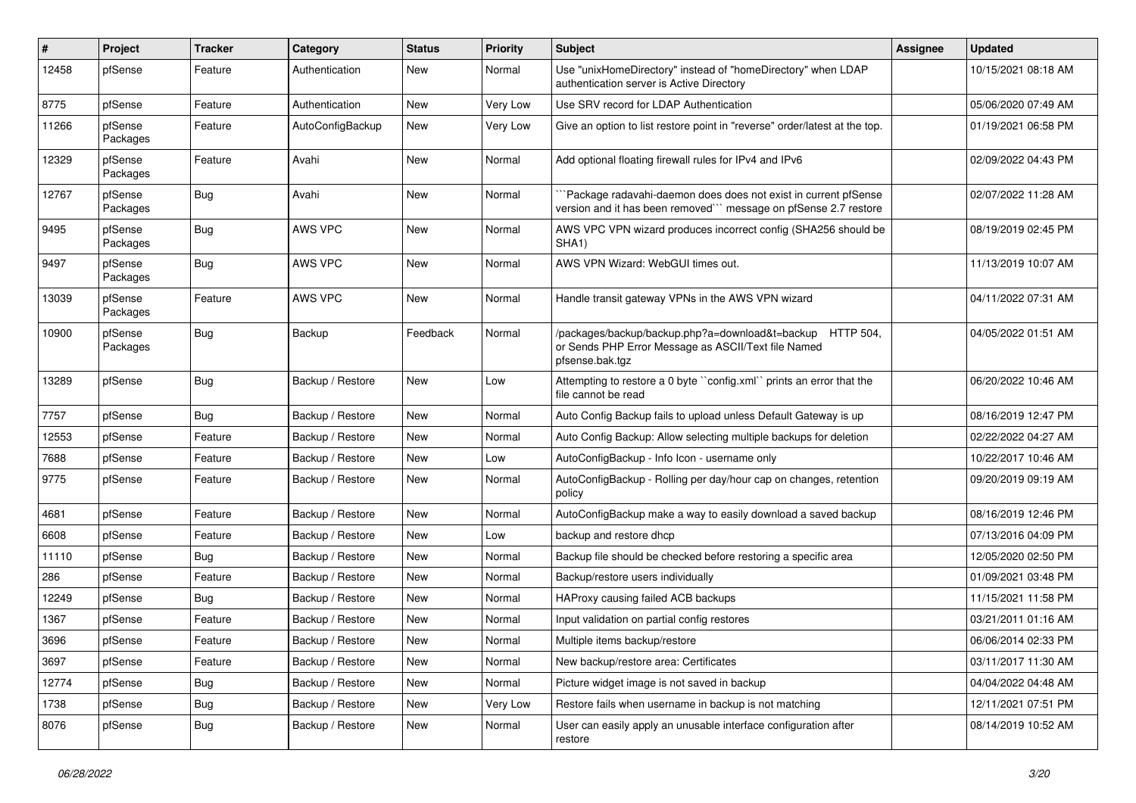| $\pmb{\#}$ | Project             | <b>Tracker</b> | Category         | <b>Status</b> | <b>Priority</b> | <b>Subject</b>                                                                                                                       | Assignee | <b>Updated</b>      |
|------------|---------------------|----------------|------------------|---------------|-----------------|--------------------------------------------------------------------------------------------------------------------------------------|----------|---------------------|
| 12458      | pfSense             | Feature        | Authentication   | New           | Normal          | Use "unixHomeDirectory" instead of "homeDirectory" when LDAP<br>authentication server is Active Directory                            |          | 10/15/2021 08:18 AM |
| 8775       | pfSense             | Feature        | Authentication   | New           | Very Low        | Use SRV record for LDAP Authentication                                                                                               |          | 05/06/2020 07:49 AM |
| 11266      | pfSense<br>Packages | Feature        | AutoConfigBackup | New           | Very Low        | Give an option to list restore point in "reverse" order/latest at the top.                                                           |          | 01/19/2021 06:58 PM |
| 12329      | pfSense<br>Packages | Feature        | Avahi            | New           | Normal          | Add optional floating firewall rules for IPv4 and IPv6                                                                               |          | 02/09/2022 04:43 PM |
| 12767      | pfSense<br>Packages | Bug            | Avahi            | <b>New</b>    | Normal          | `Package radavahi-daemon does does not exist in current pfSense<br>version and it has been removed``` message on pfSense 2.7 restore |          | 02/07/2022 11:28 AM |
| 9495       | pfSense<br>Packages | <b>Bug</b>     | AWS VPC          | New           | Normal          | AWS VPC VPN wizard produces incorrect config (SHA256 should be<br>SHA1)                                                              |          | 08/19/2019 02:45 PM |
| 9497       | pfSense<br>Packages | <b>Bug</b>     | AWS VPC          | New           | Normal          | AWS VPN Wizard: WebGUI times out.                                                                                                    |          | 11/13/2019 10:07 AM |
| 13039      | pfSense<br>Packages | Feature        | AWS VPC          | New           | Normal          | Handle transit gateway VPNs in the AWS VPN wizard                                                                                    |          | 04/11/2022 07:31 AM |
| 10900      | pfSense<br>Packages | Bug            | Backup           | Feedback      | Normal          | /packages/backup/backup.php?a=download&t=backup HTTP 504,<br>or Sends PHP Error Message as ASCII/Text file Named<br>pfsense.bak.tgz  |          | 04/05/2022 01:51 AM |
| 13289      | pfSense             | <b>Bug</b>     | Backup / Restore | <b>New</b>    | Low             | Attempting to restore a 0 byte "config.xml" prints an error that the<br>file cannot be read                                          |          | 06/20/2022 10:46 AM |
| 7757       | pfSense             | Bug            | Backup / Restore | New           | Normal          | Auto Config Backup fails to upload unless Default Gateway is up                                                                      |          | 08/16/2019 12:47 PM |
| 12553      | pfSense             | Feature        | Backup / Restore | New           | Normal          | Auto Config Backup: Allow selecting multiple backups for deletion                                                                    |          | 02/22/2022 04:27 AM |
| 7688       | pfSense             | Feature        | Backup / Restore | New           | Low             | AutoConfigBackup - Info Icon - username only                                                                                         |          | 10/22/2017 10:46 AM |
| 9775       | pfSense             | Feature        | Backup / Restore | New           | Normal          | AutoConfigBackup - Rolling per day/hour cap on changes, retention<br>policy                                                          |          | 09/20/2019 09:19 AM |
| 4681       | pfSense             | Feature        | Backup / Restore | New           | Normal          | AutoConfigBackup make a way to easily download a saved backup                                                                        |          | 08/16/2019 12:46 PM |
| 6608       | pfSense             | Feature        | Backup / Restore | <b>New</b>    | Low             | backup and restore dhcp                                                                                                              |          | 07/13/2016 04:09 PM |
| 11110      | pfSense             | <b>Bug</b>     | Backup / Restore | New           | Normal          | Backup file should be checked before restoring a specific area                                                                       |          | 12/05/2020 02:50 PM |
| 286        | pfSense             | Feature        | Backup / Restore | New           | Normal          | Backup/restore users individually                                                                                                    |          | 01/09/2021 03:48 PM |
| 12249      | pfSense             | Bug            | Backup / Restore | New           | Normal          | HAProxy causing failed ACB backups                                                                                                   |          | 11/15/2021 11:58 PM |
| 1367       | pfSense             | Feature        | Backup / Restore | New           | Normal          | Input validation on partial config restores                                                                                          |          | 03/21/2011 01:16 AM |
| 3696       | pfSense             | Feature        | Backup / Restore | New           | Normal          | Multiple items backup/restore                                                                                                        |          | 06/06/2014 02:33 PM |
| 3697       | pfSense             | Feature        | Backup / Restore | New           | Normal          | New backup/restore area: Certificates                                                                                                |          | 03/11/2017 11:30 AM |
| 12774      | pfSense             | <b>Bug</b>     | Backup / Restore | New           | Normal          | Picture widget image is not saved in backup                                                                                          |          | 04/04/2022 04:48 AM |
| 1738       | pfSense             | <b>Bug</b>     | Backup / Restore | New           | Very Low        | Restore fails when username in backup is not matching                                                                                |          | 12/11/2021 07:51 PM |
| 8076       | pfSense             | <b>Bug</b>     | Backup / Restore | New           | Normal          | User can easily apply an unusable interface configuration after<br>restore                                                           |          | 08/14/2019 10:52 AM |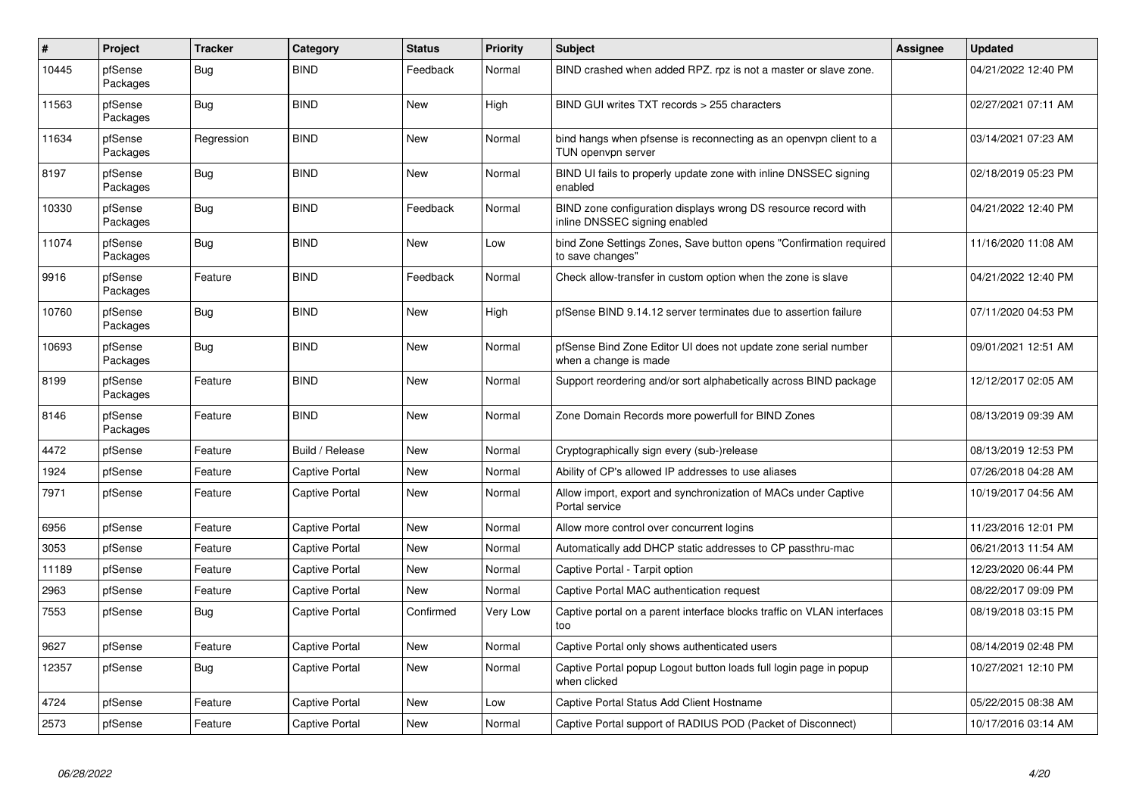| $\pmb{\#}$ | Project             | <b>Tracker</b> | Category              | <b>Status</b> | <b>Priority</b> | <b>Subject</b>                                                                                  | Assignee | <b>Updated</b>      |
|------------|---------------------|----------------|-----------------------|---------------|-----------------|-------------------------------------------------------------------------------------------------|----------|---------------------|
| 10445      | pfSense<br>Packages | Bug            | <b>BIND</b>           | Feedback      | Normal          | BIND crashed when added RPZ. rpz is not a master or slave zone.                                 |          | 04/21/2022 12:40 PM |
| 11563      | pfSense<br>Packages | Bug            | <b>BIND</b>           | New           | High            | BIND GUI writes TXT records > 255 characters                                                    |          | 02/27/2021 07:11 AM |
| 11634      | pfSense<br>Packages | Regression     | <b>BIND</b>           | <b>New</b>    | Normal          | bind hangs when pfsense is reconnecting as an openypn client to a<br>TUN openvpn server         |          | 03/14/2021 07:23 AM |
| 8197       | pfSense<br>Packages | Bug            | <b>BIND</b>           | New           | Normal          | BIND UI fails to properly update zone with inline DNSSEC signing<br>enabled                     |          | 02/18/2019 05:23 PM |
| 10330      | pfSense<br>Packages | <b>Bug</b>     | <b>BIND</b>           | Feedback      | Normal          | BIND zone configuration displays wrong DS resource record with<br>inline DNSSEC signing enabled |          | 04/21/2022 12:40 PM |
| 11074      | pfSense<br>Packages | <b>Bug</b>     | <b>BIND</b>           | <b>New</b>    | Low             | bind Zone Settings Zones, Save button opens "Confirmation required<br>to save changes"          |          | 11/16/2020 11:08 AM |
| 9916       | pfSense<br>Packages | Feature        | <b>BIND</b>           | Feedback      | Normal          | Check allow-transfer in custom option when the zone is slave                                    |          | 04/21/2022 12:40 PM |
| 10760      | pfSense<br>Packages | Bug            | <b>BIND</b>           | <b>New</b>    | High            | pfSense BIND 9.14.12 server terminates due to assertion failure                                 |          | 07/11/2020 04:53 PM |
| 10693      | pfSense<br>Packages | <b>Bug</b>     | <b>BIND</b>           | New           | Normal          | pfSense Bind Zone Editor UI does not update zone serial number<br>when a change is made         |          | 09/01/2021 12:51 AM |
| 8199       | pfSense<br>Packages | Feature        | <b>BIND</b>           | New           | Normal          | Support reordering and/or sort alphabetically across BIND package                               |          | 12/12/2017 02:05 AM |
| 8146       | pfSense<br>Packages | Feature        | <b>BIND</b>           | New           | Normal          | Zone Domain Records more powerfull for BIND Zones                                               |          | 08/13/2019 09:39 AM |
| 4472       | pfSense             | Feature        | Build / Release       | <b>New</b>    | Normal          | Cryptographically sign every (sub-)release                                                      |          | 08/13/2019 12:53 PM |
| 1924       | pfSense             | Feature        | Captive Portal        | New           | Normal          | Ability of CP's allowed IP addresses to use aliases                                             |          | 07/26/2018 04:28 AM |
| 7971       | pfSense             | Feature        | Captive Portal        | <b>New</b>    | Normal          | Allow import, export and synchronization of MACs under Captive<br>Portal service                |          | 10/19/2017 04:56 AM |
| 6956       | pfSense             | Feature        | Captive Portal        | New           | Normal          | Allow more control over concurrent logins                                                       |          | 11/23/2016 12:01 PM |
| 3053       | pfSense             | Feature        | <b>Captive Portal</b> | New           | Normal          | Automatically add DHCP static addresses to CP passthru-mac                                      |          | 06/21/2013 11:54 AM |
| 11189      | pfSense             | Feature        | Captive Portal        | New           | Normal          | Captive Portal - Tarpit option                                                                  |          | 12/23/2020 06:44 PM |
| 2963       | pfSense             | Feature        | <b>Captive Portal</b> | <b>New</b>    | Normal          | Captive Portal MAC authentication request                                                       |          | 08/22/2017 09:09 PM |
| 7553       | pfSense             | <b>Bug</b>     | Captive Portal        | Confirmed     | Very Low        | Captive portal on a parent interface blocks traffic on VLAN interfaces<br>too                   |          | 08/19/2018 03:15 PM |
| 9627       | pfSense             | Feature        | <b>Captive Portal</b> | New           | Normal          | Captive Portal only shows authenticated users                                                   |          | 08/14/2019 02:48 PM |
| 12357      | pfSense             | <b>Bug</b>     | Captive Portal        | New           | Normal          | Captive Portal popup Logout button loads full login page in popup<br>when clicked               |          | 10/27/2021 12:10 PM |
| 4724       | pfSense             | Feature        | Captive Portal        | New           | Low             | Captive Portal Status Add Client Hostname                                                       |          | 05/22/2015 08:38 AM |
| 2573       | pfSense             | Feature        | <b>Captive Portal</b> | New           | Normal          | Captive Portal support of RADIUS POD (Packet of Disconnect)                                     |          | 10/17/2016 03:14 AM |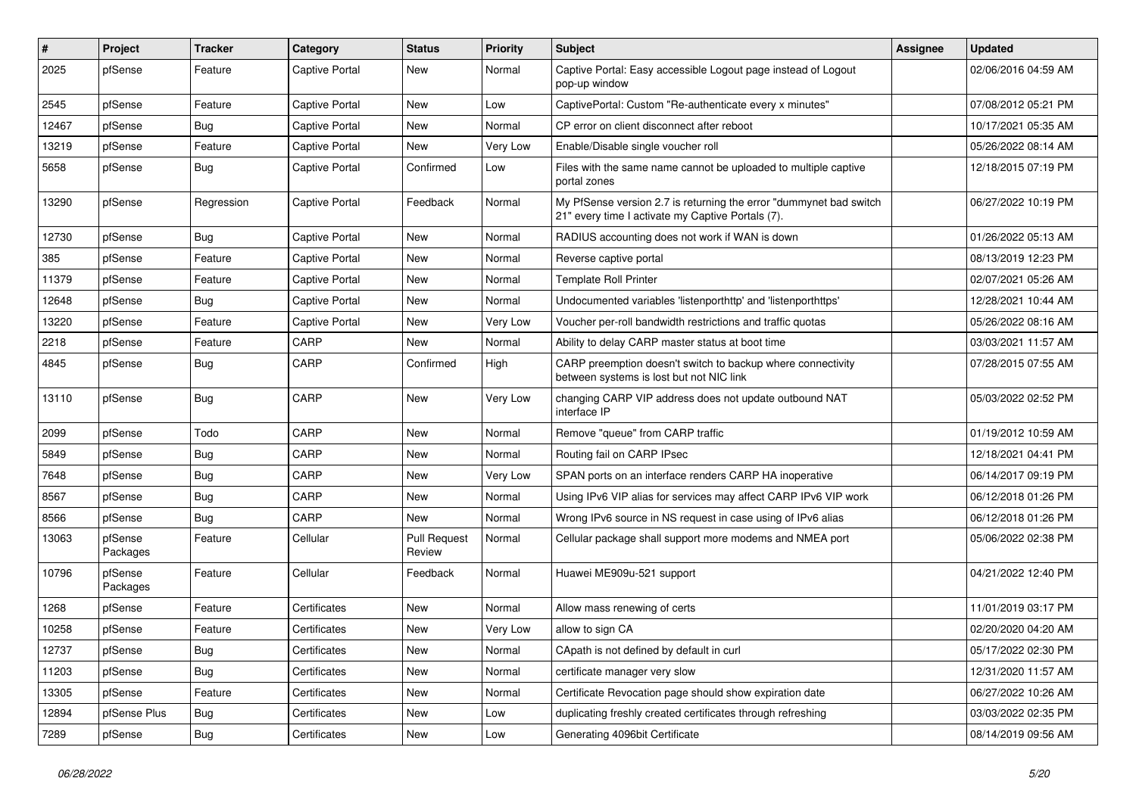| $\vert$ # | Project             | <b>Tracker</b> | Category              | <b>Status</b>                 | <b>Priority</b> | Subject                                                                                                                 | <b>Assignee</b> | <b>Updated</b>      |
|-----------|---------------------|----------------|-----------------------|-------------------------------|-----------------|-------------------------------------------------------------------------------------------------------------------------|-----------------|---------------------|
| 2025      | pfSense             | Feature        | Captive Portal        | New                           | Normal          | Captive Portal: Easy accessible Logout page instead of Logout<br>pop-up window                                          |                 | 02/06/2016 04:59 AM |
| 2545      | pfSense             | Feature        | Captive Portal        | New                           | Low             | CaptivePortal: Custom "Re-authenticate every x minutes"                                                                 |                 | 07/08/2012 05:21 PM |
| 12467     | pfSense             | <b>Bug</b>     | Captive Portal        | New                           | Normal          | CP error on client disconnect after reboot                                                                              |                 | 10/17/2021 05:35 AM |
| 13219     | pfSense             | Feature        | Captive Portal        | New                           | Very Low        | Enable/Disable single voucher roll                                                                                      |                 | 05/26/2022 08:14 AM |
| 5658      | pfSense             | Bug            | Captive Portal        | Confirmed                     | Low             | Files with the same name cannot be uploaded to multiple captive<br>portal zones                                         |                 | 12/18/2015 07:19 PM |
| 13290     | pfSense             | Regression     | <b>Captive Portal</b> | Feedback                      | Normal          | My PfSense version 2.7 is returning the error "dummynet bad switch<br>21" every time I activate my Captive Portals (7). |                 | 06/27/2022 10:19 PM |
| 12730     | pfSense             | <b>Bug</b>     | Captive Portal        | New                           | Normal          | RADIUS accounting does not work if WAN is down                                                                          |                 | 01/26/2022 05:13 AM |
| 385       | pfSense             | Feature        | Captive Portal        | New                           | Normal          | Reverse captive portal                                                                                                  |                 | 08/13/2019 12:23 PM |
| 11379     | pfSense             | Feature        | Captive Portal        | New                           | Normal          | <b>Template Roll Printer</b>                                                                                            |                 | 02/07/2021 05:26 AM |
| 12648     | pfSense             | <b>Bug</b>     | <b>Captive Portal</b> | New                           | Normal          | Undocumented variables 'listenporthttp' and 'listenporthttps'                                                           |                 | 12/28/2021 10:44 AM |
| 13220     | pfSense             | Feature        | Captive Portal        | New                           | Very Low        | Voucher per-roll bandwidth restrictions and traffic quotas                                                              |                 | 05/26/2022 08:16 AM |
| 2218      | pfSense             | Feature        | CARP                  | New                           | Normal          | Ability to delay CARP master status at boot time                                                                        |                 | 03/03/2021 11:57 AM |
| 4845      | pfSense             | Bug            | CARP                  | Confirmed                     | High            | CARP preemption doesn't switch to backup where connectivity<br>between systems is lost but not NIC link                 |                 | 07/28/2015 07:55 AM |
| 13110     | pfSense             | Bug            | CARP                  | <b>New</b>                    | Very Low        | changing CARP VIP address does not update outbound NAT<br>interface IP                                                  |                 | 05/03/2022 02:52 PM |
| 2099      | pfSense             | Todo           | CARP                  | New                           | Normal          | Remove "queue" from CARP traffic                                                                                        |                 | 01/19/2012 10:59 AM |
| 5849      | pfSense             | <b>Bug</b>     | CARP                  | New                           | Normal          | Routing fail on CARP IPsec                                                                                              |                 | 12/18/2021 04:41 PM |
| 7648      | pfSense             | Bug            | CARP                  | New                           | Very Low        | SPAN ports on an interface renders CARP HA inoperative                                                                  |                 | 06/14/2017 09:19 PM |
| 8567      | pfSense             | Bug            | CARP                  | New                           | Normal          | Using IPv6 VIP alias for services may affect CARP IPv6 VIP work                                                         |                 | 06/12/2018 01:26 PM |
| 8566      | pfSense             | Bug            | CARP                  | New                           | Normal          | Wrong IPv6 source in NS request in case using of IPv6 alias                                                             |                 | 06/12/2018 01:26 PM |
| 13063     | pfSense<br>Packages | Feature        | Cellular              | <b>Pull Request</b><br>Review | Normal          | Cellular package shall support more modems and NMEA port                                                                |                 | 05/06/2022 02:38 PM |
| 10796     | pfSense<br>Packages | Feature        | Cellular              | Feedback                      | Normal          | Huawei ME909u-521 support                                                                                               |                 | 04/21/2022 12:40 PM |
| 1268      | pfSense             | Feature        | Certificates          | New                           | Normal          | Allow mass renewing of certs                                                                                            |                 | 11/01/2019 03:17 PM |
| 10258     | pfSense             | Feature        | Certificates          | New                           | Very Low        | allow to sign CA                                                                                                        |                 | 02/20/2020 04:20 AM |
| 12737     | pfSense             | <b>Bug</b>     | Certificates          | New                           | Normal          | CApath is not defined by default in curl                                                                                |                 | 05/17/2022 02:30 PM |
| 11203     | pfSense             | <b>Bug</b>     | Certificates          | New                           | Normal          | certificate manager very slow                                                                                           |                 | 12/31/2020 11:57 AM |
| 13305     | pfSense             | Feature        | Certificates          | New                           | Normal          | Certificate Revocation page should show expiration date                                                                 |                 | 06/27/2022 10:26 AM |
| 12894     | pfSense Plus        | <b>Bug</b>     | Certificates          | New                           | Low             | duplicating freshly created certificates through refreshing                                                             |                 | 03/03/2022 02:35 PM |
| 7289      | pfSense             | Bug            | Certificates          | New                           | Low             | Generating 4096bit Certificate                                                                                          |                 | 08/14/2019 09:56 AM |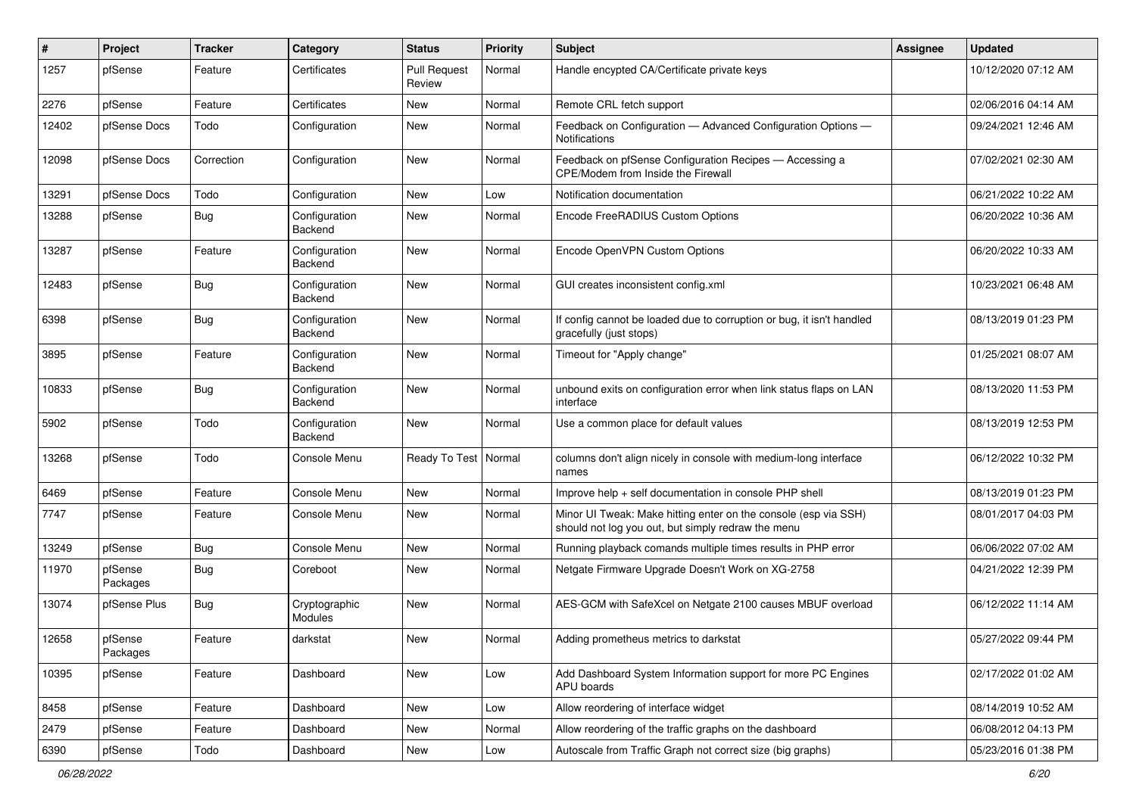| ∦     | Project             | <b>Tracker</b> | Category                 | <b>Status</b>                 | <b>Priority</b> | <b>Subject</b>                                                                                                        | <b>Assignee</b> | <b>Updated</b>      |
|-------|---------------------|----------------|--------------------------|-------------------------------|-----------------|-----------------------------------------------------------------------------------------------------------------------|-----------------|---------------------|
| 1257  | pfSense             | Feature        | Certificates             | <b>Pull Request</b><br>Review | Normal          | Handle encypted CA/Certificate private keys                                                                           |                 | 10/12/2020 07:12 AM |
| 2276  | pfSense             | Feature        | Certificates             | New                           | Normal          | Remote CRL fetch support                                                                                              |                 | 02/06/2016 04:14 AM |
| 12402 | pfSense Docs        | Todo           | Configuration            | New                           | Normal          | Feedback on Configuration - Advanced Configuration Options -<br>Notifications                                         |                 | 09/24/2021 12:46 AM |
| 12098 | pfSense Docs        | Correction     | Configuration            | New                           | Normal          | Feedback on pfSense Configuration Recipes - Accessing a<br>CPE/Modem from Inside the Firewall                         |                 | 07/02/2021 02:30 AM |
| 13291 | pfSense Docs        | Todo           | Configuration            | <b>New</b>                    | Low             | Notification documentation                                                                                            |                 | 06/21/2022 10:22 AM |
| 13288 | pfSense             | Bug            | Configuration<br>Backend | New                           | Normal          | Encode FreeRADIUS Custom Options                                                                                      |                 | 06/20/2022 10:36 AM |
| 13287 | pfSense             | Feature        | Configuration<br>Backend | New                           | Normal          | Encode OpenVPN Custom Options                                                                                         |                 | 06/20/2022 10:33 AM |
| 12483 | pfSense             | Bug            | Configuration<br>Backend | New                           | Normal          | GUI creates inconsistent config.xml                                                                                   |                 | 10/23/2021 06:48 AM |
| 6398  | pfSense             | <b>Bug</b>     | Configuration<br>Backend | New                           | Normal          | If config cannot be loaded due to corruption or bug, it isn't handled<br>gracefully (just stops)                      |                 | 08/13/2019 01:23 PM |
| 3895  | pfSense             | Feature        | Configuration<br>Backend | <b>New</b>                    | Normal          | Timeout for "Apply change"                                                                                            |                 | 01/25/2021 08:07 AM |
| 10833 | pfSense             | <b>Bug</b>     | Configuration<br>Backend | New                           | Normal          | unbound exits on configuration error when link status flaps on LAN<br>interface                                       |                 | 08/13/2020 11:53 PM |
| 5902  | pfSense             | Todo           | Configuration<br>Backend | New                           | Normal          | Use a common place for default values                                                                                 |                 | 08/13/2019 12:53 PM |
| 13268 | pfSense             | Todo           | Console Menu             | Ready To Test                 | Normal          | columns don't align nicely in console with medium-long interface<br>names                                             |                 | 06/12/2022 10:32 PM |
| 6469  | pfSense             | Feature        | Console Menu             | New                           | Normal          | Improve help + self documentation in console PHP shell                                                                |                 | 08/13/2019 01:23 PM |
| 7747  | pfSense             | Feature        | Console Menu             | New                           | Normal          | Minor UI Tweak: Make hitting enter on the console (esp via SSH)<br>should not log you out, but simply redraw the menu |                 | 08/01/2017 04:03 PM |
| 13249 | pfSense             | Bug            | Console Menu             | <b>New</b>                    | Normal          | Running playback comands multiple times results in PHP error                                                          |                 | 06/06/2022 07:02 AM |
| 11970 | pfSense<br>Packages | <b>Bug</b>     | Coreboot                 | New                           | Normal          | Netgate Firmware Upgrade Doesn't Work on XG-2758                                                                      |                 | 04/21/2022 12:39 PM |
| 13074 | pfSense Plus        | Bug            | Cryptographic<br>Modules | New                           | Normal          | AES-GCM with SafeXcel on Netgate 2100 causes MBUF overload                                                            |                 | 06/12/2022 11:14 AM |
| 12658 | pfSense<br>Packages | Feature        | darkstat                 | New                           | Normal          | Adding prometheus metrics to darkstat                                                                                 |                 | 05/27/2022 09:44 PM |
| 10395 | pfSense             | Feature        | Dashboard                | New                           | Low             | Add Dashboard System Information support for more PC Engines<br>APU boards                                            |                 | 02/17/2022 01:02 AM |
| 8458  | pfSense             | Feature        | Dashboard                | New                           | Low             | Allow reordering of interface widget                                                                                  |                 | 08/14/2019 10:52 AM |
| 2479  | pfSense             | Feature        | Dashboard                | New                           | Normal          | Allow reordering of the traffic graphs on the dashboard                                                               |                 | 06/08/2012 04:13 PM |
| 6390  | pfSense             | Todo           | Dashboard                | New                           | Low             | Autoscale from Traffic Graph not correct size (big graphs)                                                            |                 | 05/23/2016 01:38 PM |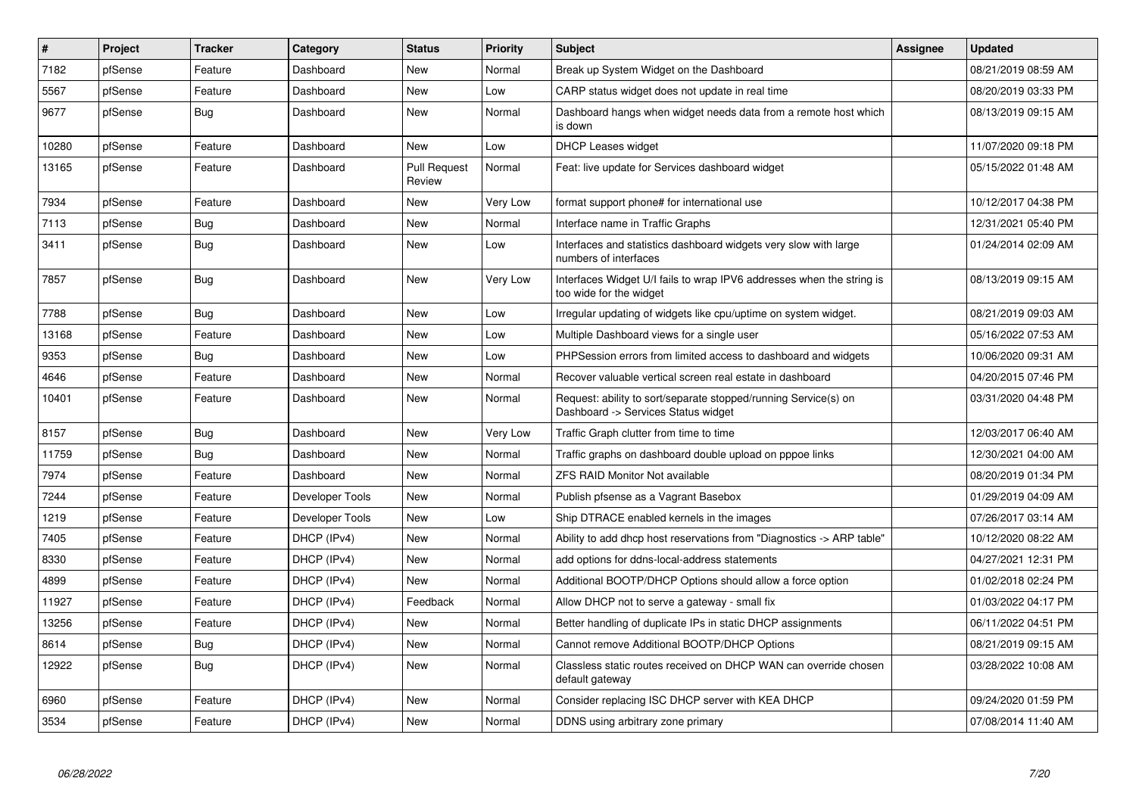| $\pmb{\#}$ | Project | <b>Tracker</b> | Category        | <b>Status</b>                 | <b>Priority</b> | <b>Subject</b>                                                                                         | Assignee | <b>Updated</b>      |
|------------|---------|----------------|-----------------|-------------------------------|-----------------|--------------------------------------------------------------------------------------------------------|----------|---------------------|
| 7182       | pfSense | Feature        | Dashboard       | <b>New</b>                    | Normal          | Break up System Widget on the Dashboard                                                                |          | 08/21/2019 08:59 AM |
| 5567       | pfSense | Feature        | Dashboard       | <b>New</b>                    | Low             | CARP status widget does not update in real time                                                        |          | 08/20/2019 03:33 PM |
| 9677       | pfSense | Bug            | Dashboard       | <b>New</b>                    | Normal          | Dashboard hangs when widget needs data from a remote host which<br>is down                             |          | 08/13/2019 09:15 AM |
| 10280      | pfSense | Feature        | Dashboard       | <b>New</b>                    | Low             | <b>DHCP Leases widget</b>                                                                              |          | 11/07/2020 09:18 PM |
| 13165      | pfSense | Feature        | Dashboard       | <b>Pull Request</b><br>Review | Normal          | Feat: live update for Services dashboard widget                                                        |          | 05/15/2022 01:48 AM |
| 7934       | pfSense | Feature        | Dashboard       | New                           | Very Low        | format support phone# for international use                                                            |          | 10/12/2017 04:38 PM |
| 7113       | pfSense | Bug            | Dashboard       | <b>New</b>                    | Normal          | Interface name in Traffic Graphs                                                                       |          | 12/31/2021 05:40 PM |
| 3411       | pfSense | <b>Bug</b>     | Dashboard       | New                           | Low             | Interfaces and statistics dashboard widgets very slow with large<br>numbers of interfaces              |          | 01/24/2014 02:09 AM |
| 7857       | pfSense | Bug            | Dashboard       | New                           | Very Low        | Interfaces Widget U/I fails to wrap IPV6 addresses when the string is<br>too wide for the widget       |          | 08/13/2019 09:15 AM |
| 7788       | pfSense | Bug            | Dashboard       | <b>New</b>                    | Low             | Irregular updating of widgets like cpu/uptime on system widget.                                        |          | 08/21/2019 09:03 AM |
| 13168      | pfSense | Feature        | Dashboard       | <b>New</b>                    | Low             | Multiple Dashboard views for a single user                                                             |          | 05/16/2022 07:53 AM |
| 9353       | pfSense | <b>Bug</b>     | Dashboard       | <b>New</b>                    | Low             | PHPSession errors from limited access to dashboard and widgets                                         |          | 10/06/2020 09:31 AM |
| 4646       | pfSense | Feature        | Dashboard       | New                           | Normal          | Recover valuable vertical screen real estate in dashboard                                              |          | 04/20/2015 07:46 PM |
| 10401      | pfSense | Feature        | Dashboard       | New                           | Normal          | Request: ability to sort/separate stopped/running Service(s) on<br>Dashboard -> Services Status widget |          | 03/31/2020 04:48 PM |
| 8157       | pfSense | Bug            | Dashboard       | New                           | Very Low        | Traffic Graph clutter from time to time                                                                |          | 12/03/2017 06:40 AM |
| 11759      | pfSense | <b>Bug</b>     | Dashboard       | <b>New</b>                    | Normal          | Traffic graphs on dashboard double upload on pppoe links                                               |          | 12/30/2021 04:00 AM |
| 7974       | pfSense | Feature        | Dashboard       | New                           | Normal          | <b>ZFS RAID Monitor Not available</b>                                                                  |          | 08/20/2019 01:34 PM |
| 7244       | pfSense | Feature        | Developer Tools | New                           | Normal          | Publish pfsense as a Vagrant Basebox                                                                   |          | 01/29/2019 04:09 AM |
| 1219       | pfSense | Feature        | Developer Tools | New                           | Low             | Ship DTRACE enabled kernels in the images                                                              |          | 07/26/2017 03:14 AM |
| 7405       | pfSense | Feature        | DHCP (IPv4)     | New                           | Normal          | Ability to add dhcp host reservations from "Diagnostics -> ARP table"                                  |          | 10/12/2020 08:22 AM |
| 8330       | pfSense | Feature        | DHCP (IPv4)     | New                           | Normal          | add options for ddns-local-address statements                                                          |          | 04/27/2021 12:31 PM |
| 4899       | pfSense | Feature        | DHCP (IPv4)     | <b>New</b>                    | Normal          | Additional BOOTP/DHCP Options should allow a force option                                              |          | 01/02/2018 02:24 PM |
| 11927      | pfSense | Feature        | DHCP (IPv4)     | Feedback                      | Normal          | Allow DHCP not to serve a gateway - small fix                                                          |          | 01/03/2022 04:17 PM |
| 13256      | pfSense | Feature        | DHCP (IPv4)     | <b>New</b>                    | Normal          | Better handling of duplicate IPs in static DHCP assignments                                            |          | 06/11/2022 04:51 PM |
| 8614       | pfSense | Bug            | DHCP (IPv4)     | New                           | Normal          | Cannot remove Additional BOOTP/DHCP Options                                                            |          | 08/21/2019 09:15 AM |
| 12922      | pfSense | Bug            | DHCP (IPv4)     | <b>New</b>                    | Normal          | Classless static routes received on DHCP WAN can override chosen<br>default gateway                    |          | 03/28/2022 10:08 AM |
| 6960       | pfSense | Feature        | DHCP (IPv4)     | <b>New</b>                    | Normal          | Consider replacing ISC DHCP server with KEA DHCP                                                       |          | 09/24/2020 01:59 PM |
| 3534       | pfSense | Feature        | DHCP (IPv4)     | <b>New</b>                    | Normal          | DDNS using arbitrary zone primary                                                                      |          | 07/08/2014 11:40 AM |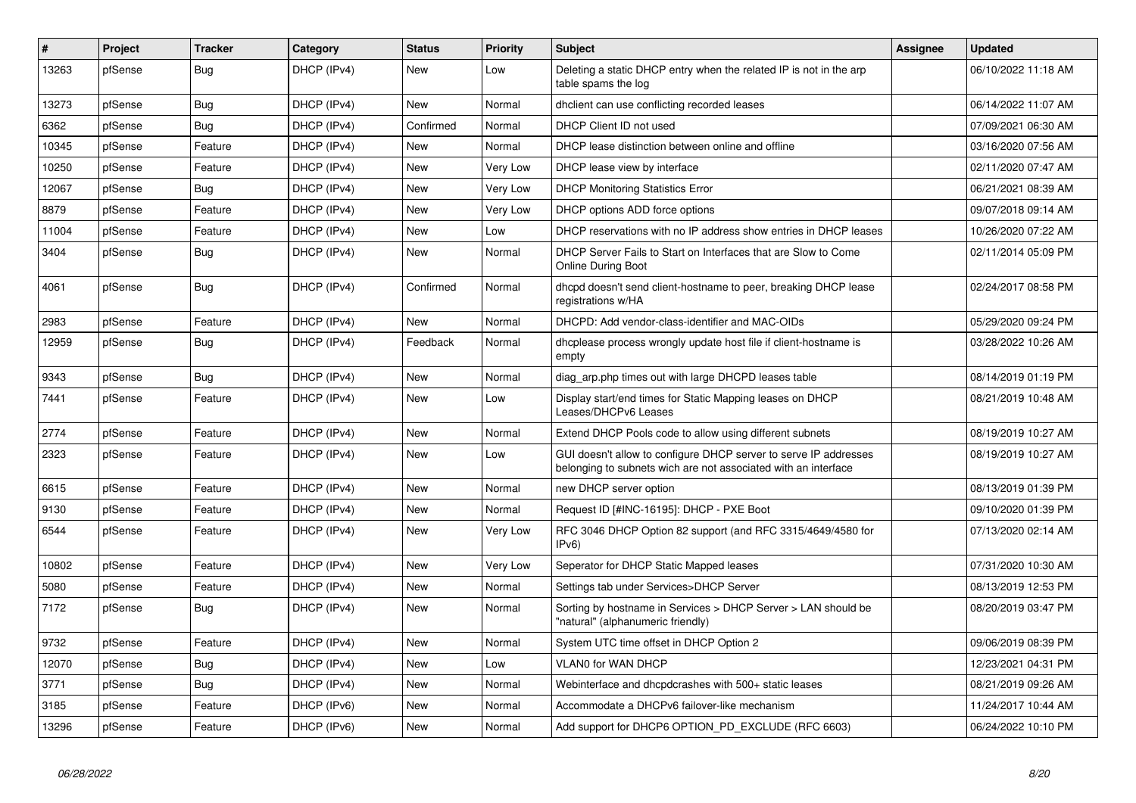| $\vert$ # | Project | <b>Tracker</b> | Category    | <b>Status</b> | <b>Priority</b> | <b>Subject</b>                                                                                                                     | <b>Assignee</b> | <b>Updated</b>      |
|-----------|---------|----------------|-------------|---------------|-----------------|------------------------------------------------------------------------------------------------------------------------------------|-----------------|---------------------|
| 13263     | pfSense | Bug            | DHCP (IPv4) | <b>New</b>    | Low             | Deleting a static DHCP entry when the related IP is not in the arp<br>table spams the log                                          |                 | 06/10/2022 11:18 AM |
| 13273     | pfSense | <b>Bug</b>     | DHCP (IPv4) | <b>New</b>    | Normal          | dholient can use conflicting recorded leases                                                                                       |                 | 06/14/2022 11:07 AM |
| 6362      | pfSense | <b>Bug</b>     | DHCP (IPv4) | Confirmed     | Normal          | DHCP Client ID not used                                                                                                            |                 | 07/09/2021 06:30 AM |
| 10345     | pfSense | Feature        | DHCP (IPv4) | <b>New</b>    | Normal          | DHCP lease distinction between online and offline                                                                                  |                 | 03/16/2020 07:56 AM |
| 10250     | pfSense | Feature        | DHCP (IPv4) | <b>New</b>    | Very Low        | DHCP lease view by interface                                                                                                       |                 | 02/11/2020 07:47 AM |
| 12067     | pfSense | Bug            | DHCP (IPv4) | New           | Very Low        | <b>DHCP Monitoring Statistics Error</b>                                                                                            |                 | 06/21/2021 08:39 AM |
| 8879      | pfSense | Feature        | DHCP (IPv4) | <b>New</b>    | Very Low        | DHCP options ADD force options                                                                                                     |                 | 09/07/2018 09:14 AM |
| 11004     | pfSense | Feature        | DHCP (IPv4) | <b>New</b>    | Low             | DHCP reservations with no IP address show entries in DHCP leases                                                                   |                 | 10/26/2020 07:22 AM |
| 3404      | pfSense | Bug            | DHCP (IPv4) | New           | Normal          | DHCP Server Fails to Start on Interfaces that are Slow to Come<br><b>Online During Boot</b>                                        |                 | 02/11/2014 05:09 PM |
| 4061      | pfSense | Bug            | DHCP (IPv4) | Confirmed     | Normal          | dhopd doesn't send client-hostname to peer, breaking DHCP lease<br>registrations w/HA                                              |                 | 02/24/2017 08:58 PM |
| 2983      | pfSense | Feature        | DHCP (IPv4) | <b>New</b>    | Normal          | DHCPD: Add vendor-class-identifier and MAC-OIDs                                                                                    |                 | 05/29/2020 09:24 PM |
| 12959     | pfSense | <b>Bug</b>     | DHCP (IPv4) | Feedback      | Normal          | dhoplease process wrongly update host file if client-hostname is<br>empty                                                          |                 | 03/28/2022 10:26 AM |
| 9343      | pfSense | <b>Bug</b>     | DHCP (IPv4) | New           | Normal          | diag arp.php times out with large DHCPD leases table                                                                               |                 | 08/14/2019 01:19 PM |
| 7441      | pfSense | Feature        | DHCP (IPv4) | New           | Low             | Display start/end times for Static Mapping leases on DHCP<br>Leases/DHCPv6 Leases                                                  |                 | 08/21/2019 10:48 AM |
| 2774      | pfSense | Feature        | DHCP (IPv4) | New           | Normal          | Extend DHCP Pools code to allow using different subnets                                                                            |                 | 08/19/2019 10:27 AM |
| 2323      | pfSense | Feature        | DHCP (IPv4) | <b>New</b>    | Low             | GUI doesn't allow to configure DHCP server to serve IP addresses<br>belonging to subnets wich are not associated with an interface |                 | 08/19/2019 10:27 AM |
| 6615      | pfSense | Feature        | DHCP (IPv4) | New           | Normal          | new DHCP server option                                                                                                             |                 | 08/13/2019 01:39 PM |
| 9130      | pfSense | Feature        | DHCP (IPv4) | <b>New</b>    | Normal          | Request ID [#INC-16195]: DHCP - PXE Boot                                                                                           |                 | 09/10/2020 01:39 PM |
| 6544      | pfSense | Feature        | DHCP (IPv4) | New           | Very Low        | RFC 3046 DHCP Option 82 support (and RFC 3315/4649/4580 for<br>IPv6                                                                |                 | 07/13/2020 02:14 AM |
| 10802     | pfSense | Feature        | DHCP (IPv4) | <b>New</b>    | Very Low        | Seperator for DHCP Static Mapped leases                                                                                            |                 | 07/31/2020 10:30 AM |
| 5080      | pfSense | Feature        | DHCP (IPv4) | New           | Normal          | Settings tab under Services>DHCP Server                                                                                            |                 | 08/13/2019 12:53 PM |
| 7172      | pfSense | Bug            | DHCP (IPv4) | <b>New</b>    | Normal          | Sorting by hostname in Services > DHCP Server > LAN should be<br>"natural" (alphanumeric friendly)                                 |                 | 08/20/2019 03:47 PM |
| 9732      | pfSense | Feature        | DHCP (IPv4) | <b>New</b>    | Normal          | System UTC time offset in DHCP Option 2                                                                                            |                 | 09/06/2019 08:39 PM |
| 12070     | pfSense | <b>Bug</b>     | DHCP (IPv4) | <b>New</b>    | Low             | <b>VLAN0 for WAN DHCP</b>                                                                                                          |                 | 12/23/2021 04:31 PM |
| 3771      | pfSense | <b>Bug</b>     | DHCP (IPv4) | <b>New</b>    | Normal          | Webinterface and dhcpdcrashes with 500+ static leases                                                                              |                 | 08/21/2019 09:26 AM |
| 3185      | pfSense | Feature        | DHCP (IPv6) | <b>New</b>    | Normal          | Accommodate a DHCPv6 failover-like mechanism                                                                                       |                 | 11/24/2017 10:44 AM |
| 13296     | pfSense | Feature        | DHCP (IPv6) | New           | Normal          | Add support for DHCP6 OPTION PD EXCLUDE (RFC 6603)                                                                                 |                 | 06/24/2022 10:10 PM |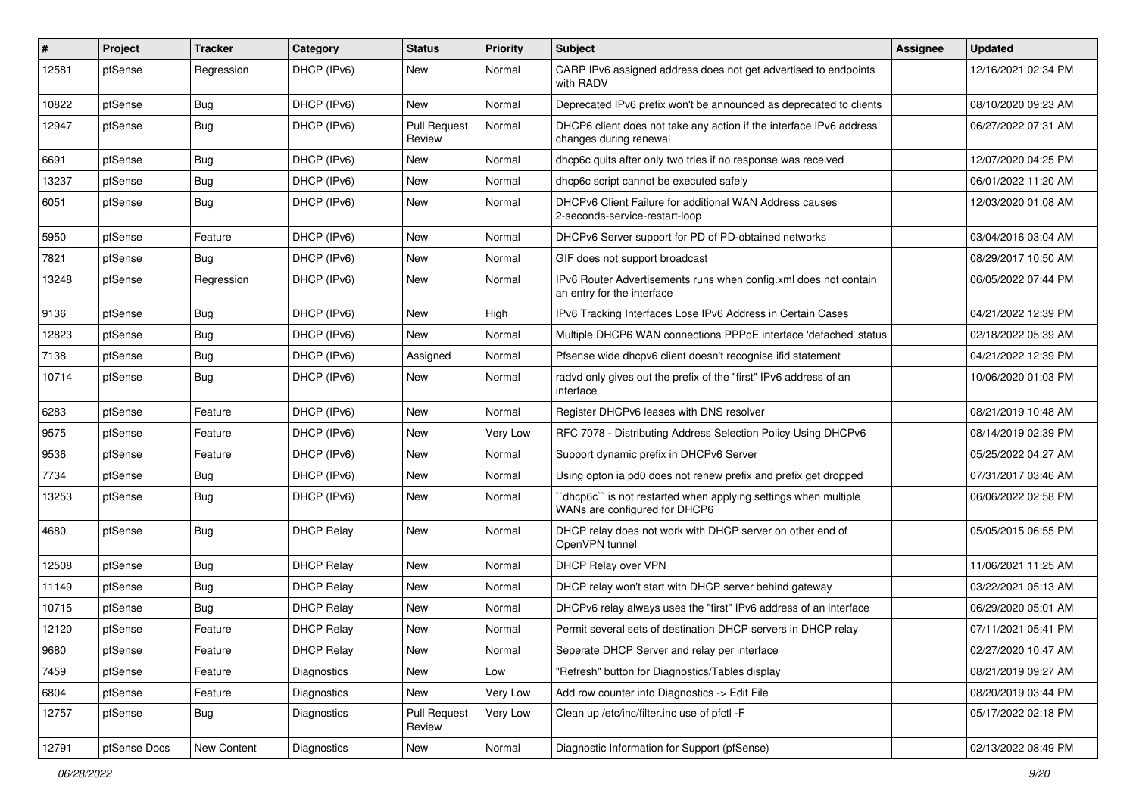| #     | Project      | <b>Tracker</b> | Category          | <b>Status</b>                 | <b>Priority</b> | Subject                                                                                         | <b>Assignee</b> | <b>Updated</b>      |
|-------|--------------|----------------|-------------------|-------------------------------|-----------------|-------------------------------------------------------------------------------------------------|-----------------|---------------------|
| 12581 | pfSense      | Regression     | DHCP (IPv6)       | New                           | Normal          | CARP IPv6 assigned address does not get advertised to endpoints<br>with RADV                    |                 | 12/16/2021 02:34 PM |
| 10822 | pfSense      | Bug            | DHCP (IPv6)       | New                           | Normal          | Deprecated IPv6 prefix won't be announced as deprecated to clients                              |                 | 08/10/2020 09:23 AM |
| 12947 | pfSense      | <b>Bug</b>     | DHCP (IPv6)       | <b>Pull Request</b><br>Review | Normal          | DHCP6 client does not take any action if the interface IPv6 address<br>changes during renewal   |                 | 06/27/2022 07:31 AM |
| 6691  | pfSense      | Bug            | DHCP (IPv6)       | New                           | Normal          | dhcp6c quits after only two tries if no response was received                                   |                 | 12/07/2020 04:25 PM |
| 13237 | pfSense      | Bug            | DHCP (IPv6)       | New                           | Normal          | dhcp6c script cannot be executed safely                                                         |                 | 06/01/2022 11:20 AM |
| 6051  | pfSense      | <b>Bug</b>     | DHCP (IPv6)       | New                           | Normal          | DHCPv6 Client Failure for additional WAN Address causes<br>2-seconds-service-restart-loop       |                 | 12/03/2020 01:08 AM |
| 5950  | pfSense      | Feature        | DHCP (IPv6)       | New                           | Normal          | DHCPv6 Server support for PD of PD-obtained networks                                            |                 | 03/04/2016 03:04 AM |
| 7821  | pfSense      | Bug            | DHCP (IPv6)       | New                           | Normal          | GIF does not support broadcast                                                                  |                 | 08/29/2017 10:50 AM |
| 13248 | pfSense      | Regression     | DHCP (IPv6)       | New                           | Normal          | IPv6 Router Advertisements runs when config.xml does not contain<br>an entry for the interface  |                 | 06/05/2022 07:44 PM |
| 9136  | pfSense      | Bug            | DHCP (IPv6)       | New                           | High            | IPv6 Tracking Interfaces Lose IPv6 Address in Certain Cases                                     |                 | 04/21/2022 12:39 PM |
| 12823 | pfSense      | Bug            | DHCP (IPv6)       | New                           | Normal          | Multiple DHCP6 WAN connections PPPoE interface 'defached' status                                |                 | 02/18/2022 05:39 AM |
| 7138  | pfSense      | <b>Bug</b>     | DHCP (IPv6)       | Assigned                      | Normal          | Pfsense wide dhcpv6 client doesn't recognise ifid statement                                     |                 | 04/21/2022 12:39 PM |
| 10714 | pfSense      | Bug            | DHCP (IPv6)       | New                           | Normal          | radvd only gives out the prefix of the "first" IPv6 address of an<br>interface                  |                 | 10/06/2020 01:03 PM |
| 6283  | pfSense      | Feature        | DHCP (IPv6)       | <b>New</b>                    | Normal          | Register DHCPv6 leases with DNS resolver                                                        |                 | 08/21/2019 10:48 AM |
| 9575  | pfSense      | Feature        | DHCP (IPv6)       | New                           | Very Low        | RFC 7078 - Distributing Address Selection Policy Using DHCPv6                                   |                 | 08/14/2019 02:39 PM |
| 9536  | pfSense      | Feature        | DHCP (IPv6)       | New                           | Normal          | Support dynamic prefix in DHCPv6 Server                                                         |                 | 05/25/2022 04:27 AM |
| 7734  | pfSense      | <b>Bug</b>     | DHCP (IPv6)       | New                           | Normal          | Using opton ia pd0 does not renew prefix and prefix get dropped                                 |                 | 07/31/2017 03:46 AM |
| 13253 | pfSense      | Bug            | DHCP (IPv6)       | New                           | Normal          | 'dhcp6c' is not restarted when applying settings when multiple<br>WANs are configured for DHCP6 |                 | 06/06/2022 02:58 PM |
| 4680  | pfSense      | Bug            | <b>DHCP Relay</b> | New                           | Normal          | DHCP relay does not work with DHCP server on other end of<br>OpenVPN tunnel                     |                 | 05/05/2015 06:55 PM |
| 12508 | pfSense      | <b>Bug</b>     | <b>DHCP Relay</b> | <b>New</b>                    | Normal          | DHCP Relay over VPN                                                                             |                 | 11/06/2021 11:25 AM |
| 11149 | pfSense      | Bug            | <b>DHCP Relay</b> | New                           | Normal          | DHCP relay won't start with DHCP server behind gateway                                          |                 | 03/22/2021 05:13 AM |
| 10715 | pfSense      | <b>Bug</b>     | <b>DHCP Relay</b> | New                           | Normal          | DHCPv6 relay always uses the "first" IPv6 address of an interface                               |                 | 06/29/2020 05:01 AM |
| 12120 | pfSense      | Feature        | <b>DHCP Relay</b> | New                           | Normal          | Permit several sets of destination DHCP servers in DHCP relay                                   |                 | 07/11/2021 05:41 PM |
| 9680  | pfSense      | Feature        | <b>DHCP Relay</b> | New                           | Normal          | Seperate DHCP Server and relay per interface                                                    |                 | 02/27/2020 10:47 AM |
| 7459  | pfSense      | Feature        | Diagnostics       | New                           | Low             | "Refresh" button for Diagnostics/Tables display                                                 |                 | 08/21/2019 09:27 AM |
| 6804  | pfSense      | Feature        | Diagnostics       | New                           | Very Low        | Add row counter into Diagnostics -> Edit File                                                   |                 | 08/20/2019 03:44 PM |
| 12757 | pfSense      | <b>Bug</b>     | Diagnostics       | Pull Request<br>Review        | Very Low        | Clean up /etc/inc/filter.inc use of pfctl -F                                                    |                 | 05/17/2022 02:18 PM |
| 12791 | pfSense Docs | New Content    | Diagnostics       | New                           | Normal          | Diagnostic Information for Support (pfSense)                                                    |                 | 02/13/2022 08:49 PM |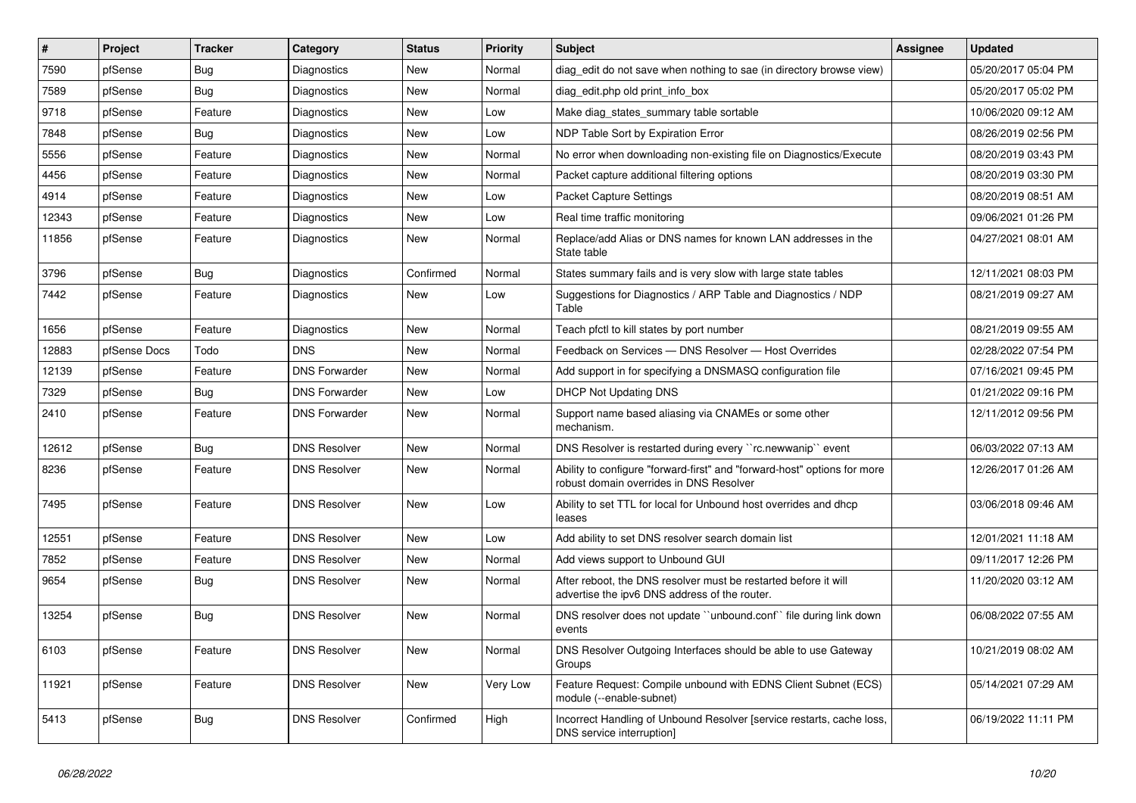| $\sharp$ | Project      | <b>Tracker</b> | Category             | <b>Status</b> | <b>Priority</b> | <b>Subject</b>                                                                                                      | <b>Assignee</b> | <b>Updated</b>      |
|----------|--------------|----------------|----------------------|---------------|-----------------|---------------------------------------------------------------------------------------------------------------------|-----------------|---------------------|
| 7590     | pfSense      | <b>Bug</b>     | Diagnostics          | New           | Normal          | diag edit do not save when nothing to sae (in directory browse view)                                                |                 | 05/20/2017 05:04 PM |
| 7589     | pfSense      | <b>Bug</b>     | Diagnostics          | <b>New</b>    | Normal          | diag_edit.php old print_info_box                                                                                    |                 | 05/20/2017 05:02 PM |
| 9718     | pfSense      | Feature        | Diagnostics          | New           | Low             | Make diag_states_summary table sortable                                                                             |                 | 10/06/2020 09:12 AM |
| 7848     | pfSense      | <b>Bug</b>     | <b>Diagnostics</b>   | <b>New</b>    | Low             | NDP Table Sort by Expiration Error                                                                                  |                 | 08/26/2019 02:56 PM |
| 5556     | pfSense      | Feature        | Diagnostics          | <b>New</b>    | Normal          | No error when downloading non-existing file on Diagnostics/Execute                                                  |                 | 08/20/2019 03:43 PM |
| 4456     | pfSense      | Feature        | Diagnostics          | <b>New</b>    | Normal          | Packet capture additional filtering options                                                                         |                 | 08/20/2019 03:30 PM |
| 4914     | pfSense      | Feature        | Diagnostics          | New           | Low             | Packet Capture Settings                                                                                             |                 | 08/20/2019 08:51 AM |
| 12343    | pfSense      | Feature        | Diagnostics          | <b>New</b>    | Low             | Real time traffic monitoring                                                                                        |                 | 09/06/2021 01:26 PM |
| 11856    | pfSense      | Feature        | Diagnostics          | <b>New</b>    | Normal          | Replace/add Alias or DNS names for known LAN addresses in the<br>State table                                        |                 | 04/27/2021 08:01 AM |
| 3796     | pfSense      | <b>Bug</b>     | Diagnostics          | Confirmed     | Normal          | States summary fails and is very slow with large state tables                                                       |                 | 12/11/2021 08:03 PM |
| 7442     | pfSense      | Feature        | Diagnostics          | New           | Low             | Suggestions for Diagnostics / ARP Table and Diagnostics / NDP<br>Table                                              |                 | 08/21/2019 09:27 AM |
| 1656     | pfSense      | Feature        | Diagnostics          | <b>New</b>    | Normal          | Teach pfctl to kill states by port number                                                                           |                 | 08/21/2019 09:55 AM |
| 12883    | pfSense Docs | Todo           | <b>DNS</b>           | <b>New</b>    | Normal          | Feedback on Services - DNS Resolver - Host Overrides                                                                |                 | 02/28/2022 07:54 PM |
| 12139    | pfSense      | Feature        | <b>DNS Forwarder</b> | New           | Normal          | Add support in for specifying a DNSMASQ configuration file                                                          |                 | 07/16/2021 09:45 PM |
| 7329     | pfSense      | Bug            | <b>DNS Forwarder</b> | New           | Low             | <b>DHCP Not Updating DNS</b>                                                                                        |                 | 01/21/2022 09:16 PM |
| 2410     | pfSense      | Feature        | <b>DNS Forwarder</b> | <b>New</b>    | Normal          | Support name based aliasing via CNAMEs or some other<br>mechanism.                                                  |                 | 12/11/2012 09:56 PM |
| 12612    | pfSense      | <b>Bug</b>     | <b>DNS Resolver</b>  | <b>New</b>    | Normal          | DNS Resolver is restarted during every "rc.newwanip" event                                                          |                 | 06/03/2022 07:13 AM |
| 8236     | pfSense      | Feature        | <b>DNS Resolver</b>  | New           | Normal          | Ability to configure "forward-first" and "forward-host" options for more<br>robust domain overrides in DNS Resolver |                 | 12/26/2017 01:26 AM |
| 7495     | pfSense      | Feature        | <b>DNS Resolver</b>  | New           | Low             | Ability to set TTL for local for Unbound host overrides and dhcp<br>leases                                          |                 | 03/06/2018 09:46 AM |
| 12551    | pfSense      | Feature        | <b>DNS Resolver</b>  | <b>New</b>    | Low             | Add ability to set DNS resolver search domain list                                                                  |                 | 12/01/2021 11:18 AM |
| 7852     | pfSense      | Feature        | <b>DNS Resolver</b>  | <b>New</b>    | Normal          | Add views support to Unbound GUI                                                                                    |                 | 09/11/2017 12:26 PM |
| 9654     | pfSense      | <b>Bug</b>     | <b>DNS Resolver</b>  | <b>New</b>    | Normal          | After reboot, the DNS resolver must be restarted before it will<br>advertise the ipv6 DNS address of the router.    |                 | 11/20/2020 03:12 AM |
| 13254    | pfSense      | <b>Bug</b>     | <b>DNS Resolver</b>  | <b>New</b>    | Normal          | DNS resolver does not update "unbound.conf" file during link down<br>events                                         |                 | 06/08/2022 07:55 AM |
| 6103     | pfSense      | Feature        | <b>DNS Resolver</b>  | New           | Normal          | DNS Resolver Outgoing Interfaces should be able to use Gateway<br>Groups                                            |                 | 10/21/2019 08:02 AM |
| 11921    | pfSense      | Feature        | <b>DNS Resolver</b>  | <b>New</b>    | Very Low        | Feature Request: Compile unbound with EDNS Client Subnet (ECS)<br>module (--enable-subnet)                          |                 | 05/14/2021 07:29 AM |
| 5413     | pfSense      | <b>Bug</b>     | <b>DNS Resolver</b>  | Confirmed     | High            | Incorrect Handling of Unbound Resolver [service restarts, cache loss,<br>DNS service interruption]                  |                 | 06/19/2022 11:11 PM |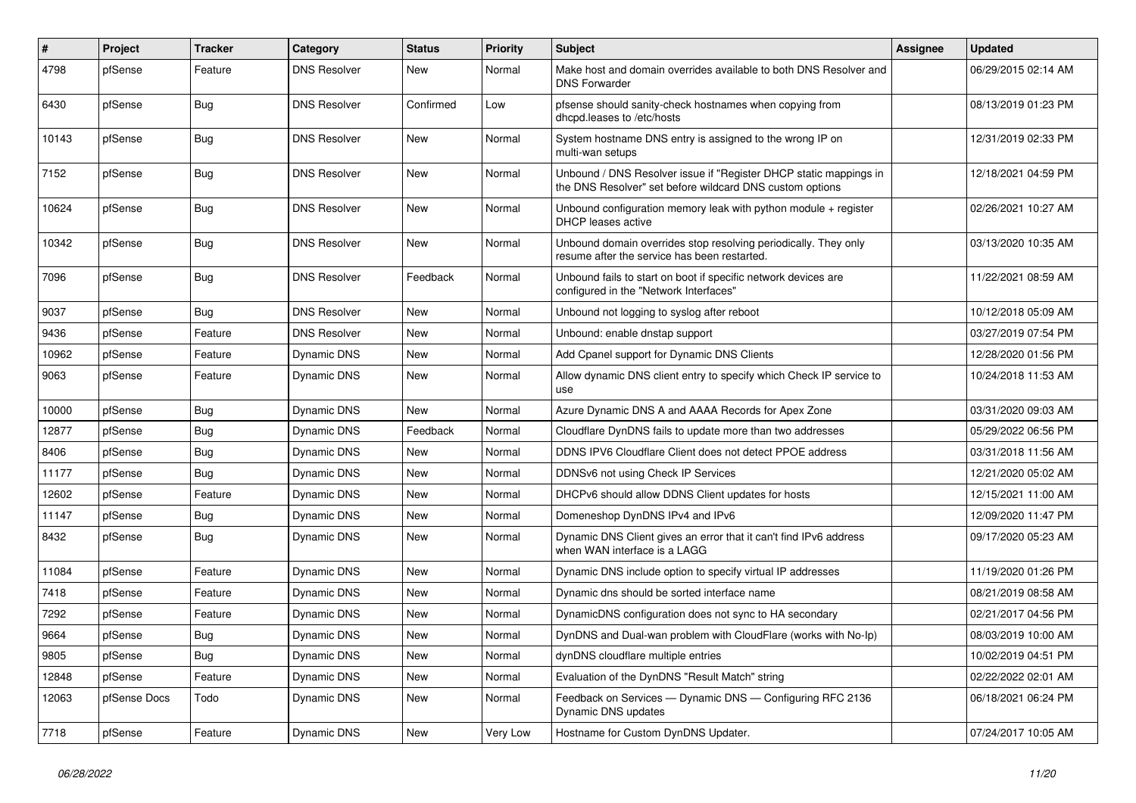| $\vert$ # | Project      | <b>Tracker</b> | Category            | <b>Status</b> | <b>Priority</b> | <b>Subject</b>                                                                                                                | <b>Assignee</b> | <b>Updated</b>      |
|-----------|--------------|----------------|---------------------|---------------|-----------------|-------------------------------------------------------------------------------------------------------------------------------|-----------------|---------------------|
| 4798      | pfSense      | Feature        | <b>DNS Resolver</b> | New           | Normal          | Make host and domain overrides available to both DNS Resolver and<br><b>DNS Forwarder</b>                                     |                 | 06/29/2015 02:14 AM |
| 6430      | pfSense      | Bug            | <b>DNS Resolver</b> | Confirmed     | Low             | pfsense should sanity-check hostnames when copying from<br>dhcpd.leases to /etc/hosts                                         |                 | 08/13/2019 01:23 PM |
| 10143     | pfSense      | <b>Bug</b>     | <b>DNS Resolver</b> | <b>New</b>    | Normal          | System hostname DNS entry is assigned to the wrong IP on<br>multi-wan setups                                                  |                 | 12/31/2019 02:33 PM |
| 7152      | pfSense      | Bug            | <b>DNS Resolver</b> | New           | Normal          | Unbound / DNS Resolver issue if "Register DHCP static mappings in<br>the DNS Resolver" set before wildcard DNS custom options |                 | 12/18/2021 04:59 PM |
| 10624     | pfSense      | <b>Bug</b>     | <b>DNS Resolver</b> | New           | Normal          | Unbound configuration memory leak with python module + register<br>DHCP leases active                                         |                 | 02/26/2021 10:27 AM |
| 10342     | pfSense      | <b>Bug</b>     | <b>DNS Resolver</b> | <b>New</b>    | Normal          | Unbound domain overrides stop resolving periodically. They only<br>resume after the service has been restarted.               |                 | 03/13/2020 10:35 AM |
| 7096      | pfSense      | <b>Bug</b>     | <b>DNS Resolver</b> | Feedback      | Normal          | Unbound fails to start on boot if specific network devices are<br>configured in the "Network Interfaces"                      |                 | 11/22/2021 08:59 AM |
| 9037      | pfSense      | Bug            | <b>DNS Resolver</b> | <b>New</b>    | Normal          | Unbound not logging to syslog after reboot                                                                                    |                 | 10/12/2018 05:09 AM |
| 9436      | pfSense      | Feature        | <b>DNS Resolver</b> | New           | Normal          | Unbound: enable dnstap support                                                                                                |                 | 03/27/2019 07:54 PM |
| 10962     | pfSense      | Feature        | Dynamic DNS         | New           | Normal          | Add Cpanel support for Dynamic DNS Clients                                                                                    |                 | 12/28/2020 01:56 PM |
| 9063      | pfSense      | Feature        | Dynamic DNS         | New           | Normal          | Allow dynamic DNS client entry to specify which Check IP service to<br>use                                                    |                 | 10/24/2018 11:53 AM |
| 10000     | pfSense      | Bug            | Dynamic DNS         | <b>New</b>    | Normal          | Azure Dynamic DNS A and AAAA Records for Apex Zone                                                                            |                 | 03/31/2020 09:03 AM |
| 12877     | pfSense      | <b>Bug</b>     | Dynamic DNS         | Feedback      | Normal          | Cloudflare DynDNS fails to update more than two addresses                                                                     |                 | 05/29/2022 06:56 PM |
| 8406      | pfSense      | <b>Bug</b>     | Dynamic DNS         | <b>New</b>    | Normal          | DDNS IPV6 Cloudflare Client does not detect PPOE address                                                                      |                 | 03/31/2018 11:56 AM |
| 11177     | pfSense      | <b>Bug</b>     | Dynamic DNS         | <b>New</b>    | Normal          | DDNSv6 not using Check IP Services                                                                                            |                 | 12/21/2020 05:02 AM |
| 12602     | pfSense      | Feature        | Dynamic DNS         | <b>New</b>    | Normal          | DHCPv6 should allow DDNS Client updates for hosts                                                                             |                 | 12/15/2021 11:00 AM |
| 11147     | pfSense      | Bug            | <b>Dynamic DNS</b>  | <b>New</b>    | Normal          | Domeneshop DynDNS IPv4 and IPv6                                                                                               |                 | 12/09/2020 11:47 PM |
| 8432      | pfSense      | <b>Bug</b>     | <b>Dynamic DNS</b>  | New           | Normal          | Dynamic DNS Client gives an error that it can't find IPv6 address<br>when WAN interface is a LAGG                             |                 | 09/17/2020 05:23 AM |
| 11084     | pfSense      | Feature        | Dynamic DNS         | New           | Normal          | Dynamic DNS include option to specify virtual IP addresses                                                                    |                 | 11/19/2020 01:26 PM |
| 7418      | pfSense      | Feature        | Dynamic DNS         | New           | Normal          | Dynamic dns should be sorted interface name                                                                                   |                 | 08/21/2019 08:58 AM |
| 7292      | pfSense      | Feature        | Dynamic DNS         | New           | Normal          | DynamicDNS configuration does not sync to HA secondary                                                                        |                 | 02/21/2017 04:56 PM |
| 9664      | pfSense      | <b>Bug</b>     | Dynamic DNS         | New           | Normal          | DynDNS and Dual-wan problem with CloudFlare (works with No-Ip)                                                                |                 | 08/03/2019 10:00 AM |
| 9805      | pfSense      | Bug            | Dynamic DNS         | New           | Normal          | dynDNS cloudflare multiple entries                                                                                            |                 | 10/02/2019 04:51 PM |
| 12848     | pfSense      | Feature        | Dynamic DNS         | New           | Normal          | Evaluation of the DynDNS "Result Match" string                                                                                |                 | 02/22/2022 02:01 AM |
| 12063     | pfSense Docs | Todo           | Dynamic DNS         | New           | Normal          | Feedback on Services — Dynamic DNS — Configuring RFC 2136<br>Dynamic DNS updates                                              |                 | 06/18/2021 06:24 PM |
| 7718      | pfSense      | Feature        | Dynamic DNS         | New           | Very Low        | Hostname for Custom DynDNS Updater.                                                                                           |                 | 07/24/2017 10:05 AM |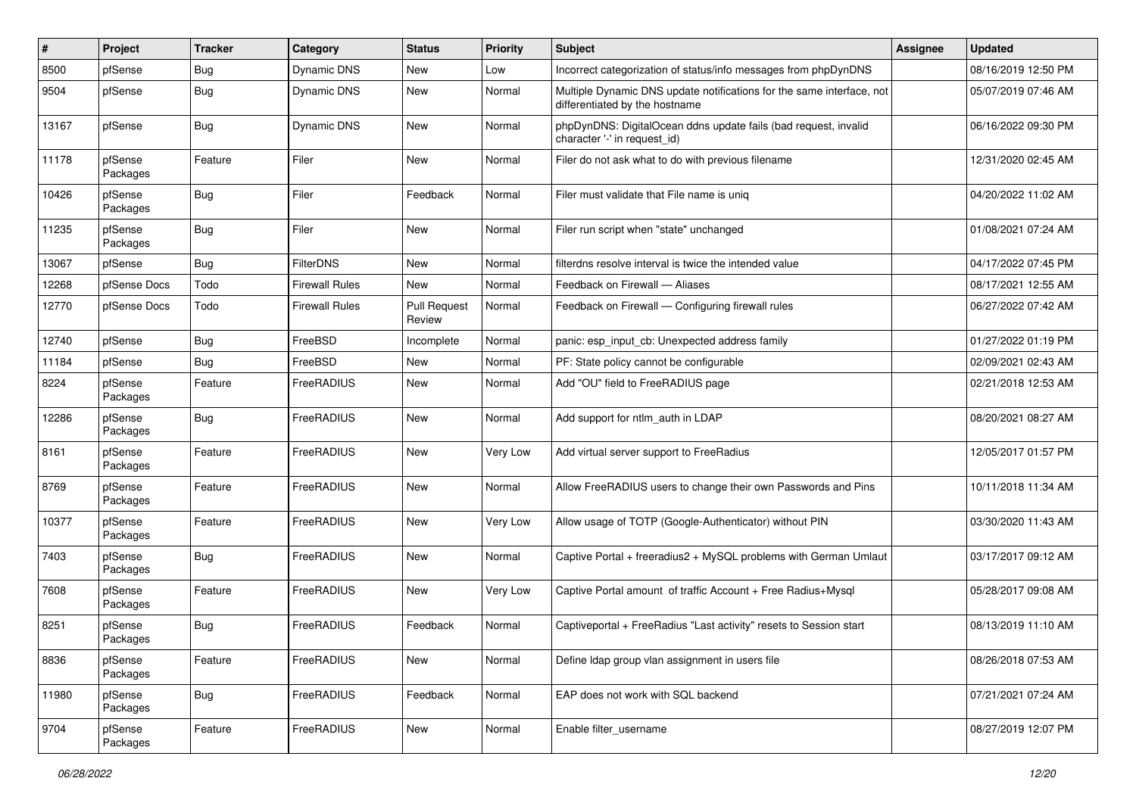| #     | Project             | <b>Tracker</b> | Category              | <b>Status</b>                 | <b>Priority</b> | Subject                                                                                                 | Assignee | <b>Updated</b>      |
|-------|---------------------|----------------|-----------------------|-------------------------------|-----------------|---------------------------------------------------------------------------------------------------------|----------|---------------------|
| 8500  | pfSense             | <b>Bug</b>     | Dynamic DNS           | New                           | Low             | Incorrect categorization of status/info messages from phpDynDNS                                         |          | 08/16/2019 12:50 PM |
| 9504  | pfSense             | <b>Bug</b>     | Dynamic DNS           | New                           | Normal          | Multiple Dynamic DNS update notifications for the same interface, not<br>differentiated by the hostname |          | 05/07/2019 07:46 AM |
| 13167 | pfSense             | <b>Bug</b>     | <b>Dynamic DNS</b>    | New                           | Normal          | phpDynDNS: DigitalOcean ddns update fails (bad request, invalid<br>character '-' in request_id)         |          | 06/16/2022 09:30 PM |
| 11178 | pfSense<br>Packages | Feature        | Filer                 | New                           | Normal          | Filer do not ask what to do with previous filename                                                      |          | 12/31/2020 02:45 AM |
| 10426 | pfSense<br>Packages | <b>Bug</b>     | Filer                 | Feedback                      | Normal          | Filer must validate that File name is uniq                                                              |          | 04/20/2022 11:02 AM |
| 11235 | pfSense<br>Packages | <b>Bug</b>     | Filer                 | New                           | Normal          | Filer run script when "state" unchanged                                                                 |          | 01/08/2021 07:24 AM |
| 13067 | pfSense             | <b>Bug</b>     | <b>FilterDNS</b>      | New                           | Normal          | filterdns resolve interval is twice the intended value                                                  |          | 04/17/2022 07:45 PM |
| 12268 | pfSense Docs        | Todo           | <b>Firewall Rules</b> | New                           | Normal          | Feedback on Firewall — Aliases                                                                          |          | 08/17/2021 12:55 AM |
| 12770 | pfSense Docs        | Todo           | <b>Firewall Rules</b> | <b>Pull Request</b><br>Review | Normal          | Feedback on Firewall - Configuring firewall rules                                                       |          | 06/27/2022 07:42 AM |
| 12740 | pfSense             | Bug            | FreeBSD               | Incomplete                    | Normal          | panic: esp_input_cb: Unexpected address family                                                          |          | 01/27/2022 01:19 PM |
| 11184 | pfSense             | <b>Bug</b>     | FreeBSD               | New                           | Normal          | PF: State policy cannot be configurable                                                                 |          | 02/09/2021 02:43 AM |
| 8224  | pfSense<br>Packages | Feature        | FreeRADIUS            | New                           | Normal          | Add "OU" field to FreeRADIUS page                                                                       |          | 02/21/2018 12:53 AM |
| 12286 | pfSense<br>Packages | <b>Bug</b>     | FreeRADIUS            | New                           | Normal          | Add support for ntlm auth in LDAP                                                                       |          | 08/20/2021 08:27 AM |
| 8161  | pfSense<br>Packages | Feature        | FreeRADIUS            | New                           | Very Low        | Add virtual server support to FreeRadius                                                                |          | 12/05/2017 01:57 PM |
| 8769  | pfSense<br>Packages | Feature        | FreeRADIUS            | New                           | Normal          | Allow FreeRADIUS users to change their own Passwords and Pins                                           |          | 10/11/2018 11:34 AM |
| 10377 | pfSense<br>Packages | Feature        | FreeRADIUS            | New                           | Very Low        | Allow usage of TOTP (Google-Authenticator) without PIN                                                  |          | 03/30/2020 11:43 AM |
| 7403  | pfSense<br>Packages | Bug            | FreeRADIUS            | <b>New</b>                    | Normal          | Captive Portal + freeradius2 + MySQL problems with German Umlaut                                        |          | 03/17/2017 09:12 AM |
| 7608  | pfSense<br>Packages | Feature        | FreeRADIUS            | New                           | Very Low        | Captive Portal amount of traffic Account + Free Radius+Mysql                                            |          | 05/28/2017 09:08 AM |
| 8251  | pfSense<br>Packages | <b>Bug</b>     | FreeRADIUS            | Feedback                      | Normal          | Captiveportal + FreeRadius "Last activity" resets to Session start                                      |          | 08/13/2019 11:10 AM |
| 8836  | pfSense<br>Packages | Feature        | FreeRADIUS            | New                           | Normal          | Define Idap group vlan assignment in users file                                                         |          | 08/26/2018 07:53 AM |
| 11980 | pfSense<br>Packages | <b>Bug</b>     | FreeRADIUS            | Feedback                      | Normal          | EAP does not work with SQL backend                                                                      |          | 07/21/2021 07:24 AM |
| 9704  | pfSense<br>Packages | Feature        | FreeRADIUS            | New                           | Normal          | Enable filter_username                                                                                  |          | 08/27/2019 12:07 PM |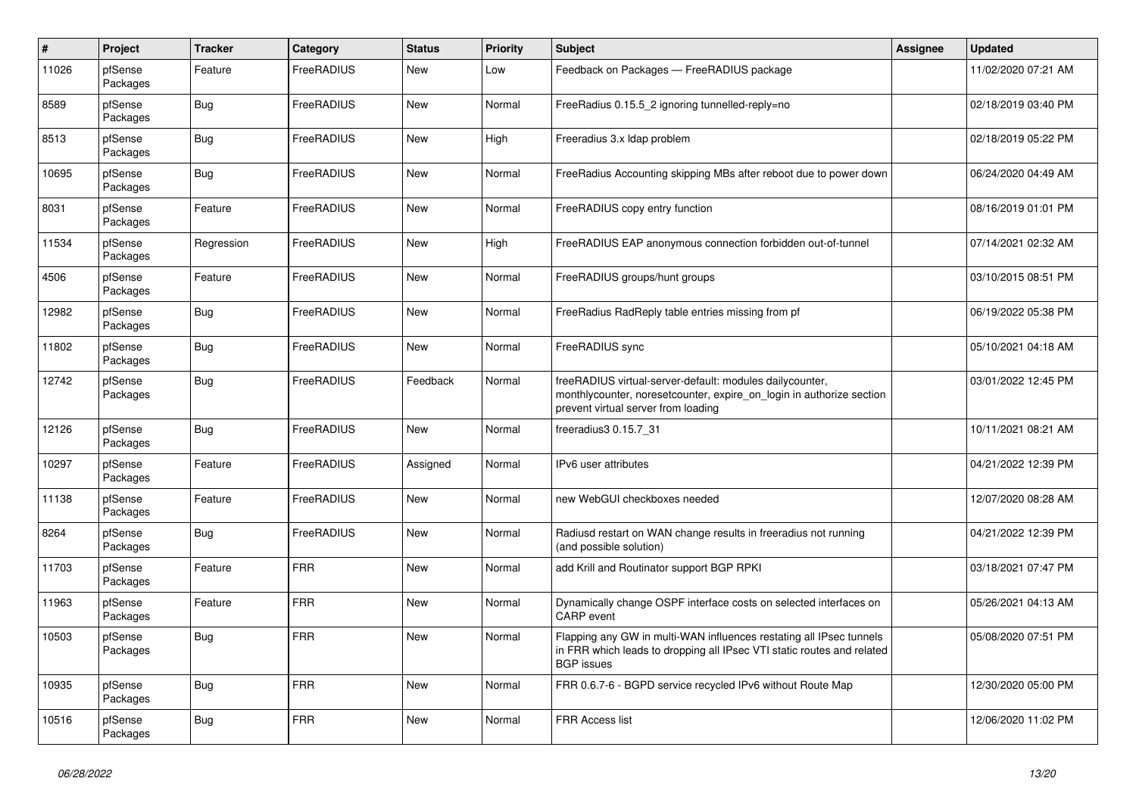| $\#$  | Project             | <b>Tracker</b> | Category   | <b>Status</b> | Priority | <b>Subject</b>                                                                                                                                                          | <b>Assignee</b> | <b>Updated</b>      |
|-------|---------------------|----------------|------------|---------------|----------|-------------------------------------------------------------------------------------------------------------------------------------------------------------------------|-----------------|---------------------|
| 11026 | pfSense<br>Packages | Feature        | FreeRADIUS | New           | Low      | Feedback on Packages - FreeRADIUS package                                                                                                                               |                 | 11/02/2020 07:21 AM |
| 8589  | pfSense<br>Packages | Bug            | FreeRADIUS | <b>New</b>    | Normal   | FreeRadius 0.15.5 2 ignoring tunnelled-reply=no                                                                                                                         |                 | 02/18/2019 03:40 PM |
| 8513  | pfSense<br>Packages | Bug            | FreeRADIUS | <b>New</b>    | High     | Freeradius 3.x Idap problem                                                                                                                                             |                 | 02/18/2019 05:22 PM |
| 10695 | pfSense<br>Packages | Bug            | FreeRADIUS | <b>New</b>    | Normal   | FreeRadius Accounting skipping MBs after reboot due to power down                                                                                                       |                 | 06/24/2020 04:49 AM |
| 8031  | pfSense<br>Packages | Feature        | FreeRADIUS | <b>New</b>    | Normal   | FreeRADIUS copy entry function                                                                                                                                          |                 | 08/16/2019 01:01 PM |
| 11534 | pfSense<br>Packages | Regression     | FreeRADIUS | New           | High     | FreeRADIUS EAP anonymous connection forbidden out-of-tunnel                                                                                                             |                 | 07/14/2021 02:32 AM |
| 4506  | pfSense<br>Packages | Feature        | FreeRADIUS | <b>New</b>    | Normal   | FreeRADIUS groups/hunt groups                                                                                                                                           |                 | 03/10/2015 08:51 PM |
| 12982 | pfSense<br>Packages | <b>Bug</b>     | FreeRADIUS | New           | Normal   | Free Radius Rad Reply table entries missing from pf                                                                                                                     |                 | 06/19/2022 05:38 PM |
| 11802 | pfSense<br>Packages | <b>Bug</b>     | FreeRADIUS | <b>New</b>    | Normal   | FreeRADIUS sync                                                                                                                                                         |                 | 05/10/2021 04:18 AM |
| 12742 | pfSense<br>Packages | Bug            | FreeRADIUS | Feedback      | Normal   | freeRADIUS virtual-server-default: modules dailycounter,<br>monthlycounter, noresetcounter, expire_on_login in authorize section<br>prevent virtual server from loading |                 | 03/01/2022 12:45 PM |
| 12126 | pfSense<br>Packages | <b>Bug</b>     | FreeRADIUS | New           | Normal   | freeradius3 0.15.7_31                                                                                                                                                   |                 | 10/11/2021 08:21 AM |
| 10297 | pfSense<br>Packages | Feature        | FreeRADIUS | Assigned      | Normal   | IPv6 user attributes                                                                                                                                                    |                 | 04/21/2022 12:39 PM |
| 11138 | pfSense<br>Packages | Feature        | FreeRADIUS | <b>New</b>    | Normal   | new WebGUI checkboxes needed                                                                                                                                            |                 | 12/07/2020 08:28 AM |
| 8264  | pfSense<br>Packages | Bug            | FreeRADIUS | <b>New</b>    | Normal   | Radiusd restart on WAN change results in freeradius not running<br>(and possible solution)                                                                              |                 | 04/21/2022 12:39 PM |
| 11703 | pfSense<br>Packages | Feature        | <b>FRR</b> | <b>New</b>    | Normal   | add Krill and Routinator support BGP RPKI                                                                                                                               |                 | 03/18/2021 07:47 PM |
| 11963 | pfSense<br>Packages | Feature        | <b>FRR</b> | <b>New</b>    | Normal   | Dynamically change OSPF interface costs on selected interfaces on<br>CARP event                                                                                         |                 | 05/26/2021 04:13 AM |
| 10503 | pfSense<br>Packages | <b>Bug</b>     | <b>FRR</b> | <b>New</b>    | Normal   | Flapping any GW in multi-WAN influences restating all IPsec tunnels<br>in FRR which leads to dropping all IPsec VTI static routes and related<br><b>BGP</b> issues      |                 | 05/08/2020 07:51 PM |
| 10935 | pfSense<br>Packages | <b>Bug</b>     | <b>FRR</b> | <b>New</b>    | Normal   | FRR 0.6.7-6 - BGPD service recycled IPv6 without Route Map                                                                                                              |                 | 12/30/2020 05:00 PM |
| 10516 | pfSense<br>Packages | Bug            | <b>FRR</b> | <b>New</b>    | Normal   | <b>FRR Access list</b>                                                                                                                                                  |                 | 12/06/2020 11:02 PM |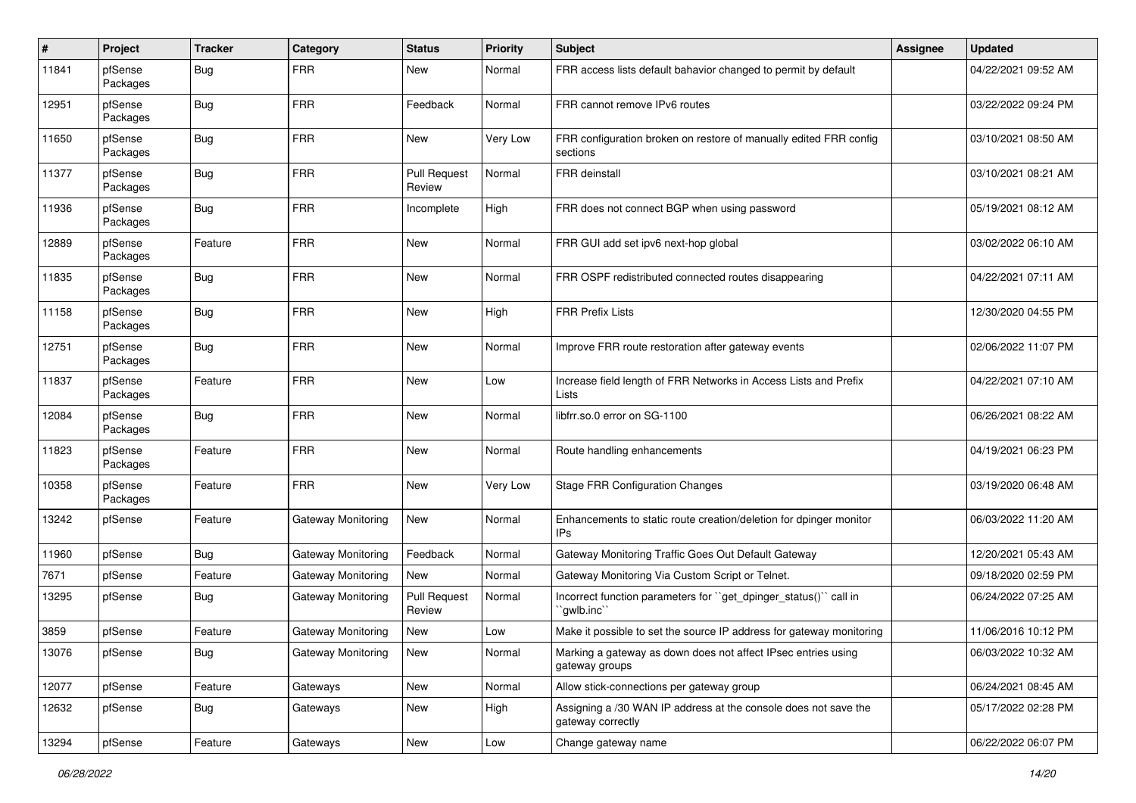| #     | Project             | <b>Tracker</b> | Category           | <b>Status</b>                 | <b>Priority</b> | <b>Subject</b>                                                                       | <b>Assignee</b> | <b>Updated</b>      |
|-------|---------------------|----------------|--------------------|-------------------------------|-----------------|--------------------------------------------------------------------------------------|-----------------|---------------------|
| 11841 | pfSense<br>Packages | <b>Bug</b>     | <b>FRR</b>         | New                           | Normal          | FRR access lists default bahavior changed to permit by default                       |                 | 04/22/2021 09:52 AM |
| 12951 | pfSense<br>Packages | <b>Bug</b>     | <b>FRR</b>         | Feedback                      | Normal          | FRR cannot remove IPv6 routes                                                        |                 | 03/22/2022 09:24 PM |
| 11650 | pfSense<br>Packages | <b>Bug</b>     | <b>FRR</b>         | <b>New</b>                    | Very Low        | FRR configuration broken on restore of manually edited FRR config<br>sections        |                 | 03/10/2021 08:50 AM |
| 11377 | pfSense<br>Packages | <b>Bug</b>     | <b>FRR</b>         | <b>Pull Request</b><br>Review | Normal          | <b>FRR</b> deinstall                                                                 |                 | 03/10/2021 08:21 AM |
| 11936 | pfSense<br>Packages | <b>Bug</b>     | <b>FRR</b>         | Incomplete                    | High            | FRR does not connect BGP when using password                                         |                 | 05/19/2021 08:12 AM |
| 12889 | pfSense<br>Packages | Feature        | <b>FRR</b>         | <b>New</b>                    | Normal          | FRR GUI add set ipv6 next-hop global                                                 |                 | 03/02/2022 06:10 AM |
| 11835 | pfSense<br>Packages | <b>Bug</b>     | <b>FRR</b>         | New                           | Normal          | FRR OSPF redistributed connected routes disappearing                                 |                 | 04/22/2021 07:11 AM |
| 11158 | pfSense<br>Packages | <b>Bug</b>     | <b>FRR</b>         | New                           | High            | <b>FRR Prefix Lists</b>                                                              |                 | 12/30/2020 04:55 PM |
| 12751 | pfSense<br>Packages | Bug            | <b>FRR</b>         | New                           | Normal          | Improve FRR route restoration after gateway events                                   |                 | 02/06/2022 11:07 PM |
| 11837 | pfSense<br>Packages | Feature        | <b>FRR</b>         | New                           | Low             | Increase field length of FRR Networks in Access Lists and Prefix<br>Lists            |                 | 04/22/2021 07:10 AM |
| 12084 | pfSense<br>Packages | <b>Bug</b>     | <b>FRR</b>         | New                           | Normal          | libfrr.so.0 error on SG-1100                                                         |                 | 06/26/2021 08:22 AM |
| 11823 | pfSense<br>Packages | Feature        | <b>FRR</b>         | New                           | Normal          | Route handling enhancements                                                          |                 | 04/19/2021 06:23 PM |
| 10358 | pfSense<br>Packages | Feature        | <b>FRR</b>         | New                           | Very Low        | <b>Stage FRR Configuration Changes</b>                                               |                 | 03/19/2020 06:48 AM |
| 13242 | pfSense             | Feature        | Gateway Monitoring | New                           | Normal          | Enhancements to static route creation/deletion for dpinger monitor<br>IPs            |                 | 06/03/2022 11:20 AM |
| 11960 | pfSense             | <b>Bug</b>     | Gateway Monitoring | Feedback                      | Normal          | Gateway Monitoring Traffic Goes Out Default Gateway                                  |                 | 12/20/2021 05:43 AM |
| 7671  | pfSense             | Feature        | Gateway Monitoring | New                           | Normal          | Gateway Monitoring Via Custom Script or Telnet.                                      |                 | 09/18/2020 02:59 PM |
| 13295 | pfSense             | <b>Bug</b>     | Gateway Monitoring | <b>Pull Request</b><br>Review | Normal          | Incorrect function parameters for "get_dpinger_status()" call in<br>`gwlb.inc`       |                 | 06/24/2022 07:25 AM |
| 3859  | pfSense             | Feature        | Gateway Monitoring | New                           | Low             | Make it possible to set the source IP address for gateway monitoring                 |                 | 11/06/2016 10:12 PM |
| 13076 | pfSense             | Bug            | Gateway Monitoring | New                           | Normal          | Marking a gateway as down does not affect IPsec entries using<br>gateway groups      |                 | 06/03/2022 10:32 AM |
| 12077 | pfSense             | Feature        | Gateways           | New                           | Normal          | Allow stick-connections per gateway group                                            |                 | 06/24/2021 08:45 AM |
| 12632 | pfSense             | Bug            | Gateways           | New                           | High            | Assigning a /30 WAN IP address at the console does not save the<br>gateway correctly |                 | 05/17/2022 02:28 PM |
| 13294 | pfSense             | Feature        | Gateways           | New                           | Low             | Change gateway name                                                                  |                 | 06/22/2022 06:07 PM |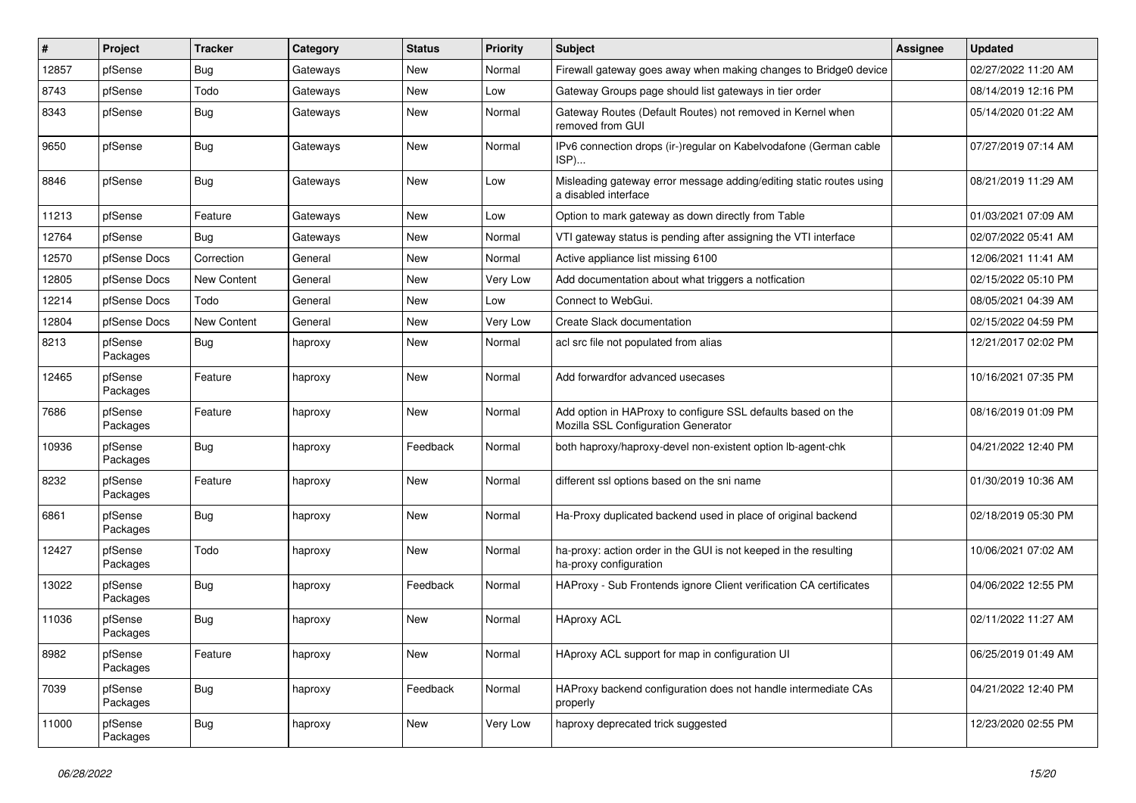| #     | Project             | <b>Tracker</b>     | Category | <b>Status</b> | <b>Priority</b> | <b>Subject</b>                                                                                      | <b>Assignee</b> | <b>Updated</b>      |
|-------|---------------------|--------------------|----------|---------------|-----------------|-----------------------------------------------------------------------------------------------------|-----------------|---------------------|
| 12857 | pfSense             | <b>Bug</b>         | Gateways | New           | Normal          | Firewall gateway goes away when making changes to Bridge0 device                                    |                 | 02/27/2022 11:20 AM |
| 8743  | pfSense             | Todo               | Gateways | New           | Low             | Gateway Groups page should list gateways in tier order                                              |                 | 08/14/2019 12:16 PM |
| 8343  | pfSense             | <b>Bug</b>         | Gateways | New           | Normal          | Gateway Routes (Default Routes) not removed in Kernel when<br>removed from GUI                      |                 | 05/14/2020 01:22 AM |
| 9650  | pfSense             | <b>Bug</b>         | Gateways | New           | Normal          | IPv6 connection drops (ir-)regular on Kabelvodafone (German cable<br>ISP)                           |                 | 07/27/2019 07:14 AM |
| 8846  | pfSense             | <b>Bug</b>         | Gateways | New           | Low             | Misleading gateway error message adding/editing static routes using<br>a disabled interface         |                 | 08/21/2019 11:29 AM |
| 11213 | pfSense             | Feature            | Gateways | New           | Low             | Option to mark gateway as down directly from Table                                                  |                 | 01/03/2021 07:09 AM |
| 12764 | pfSense             | <b>Bug</b>         | Gateways | New           | Normal          | VTI gateway status is pending after assigning the VTI interface                                     |                 | 02/07/2022 05:41 AM |
| 12570 | pfSense Docs        | Correction         | General  | New           | Normal          | Active appliance list missing 6100                                                                  |                 | 12/06/2021 11:41 AM |
| 12805 | pfSense Docs        | New Content        | General  | New           | Very Low        | Add documentation about what triggers a notfication                                                 |                 | 02/15/2022 05:10 PM |
| 12214 | pfSense Docs        | Todo               | General  | New           | Low             | Connect to WebGui.                                                                                  |                 | 08/05/2021 04:39 AM |
| 12804 | pfSense Docs        | <b>New Content</b> | General  | New           | Very Low        | Create Slack documentation                                                                          |                 | 02/15/2022 04:59 PM |
| 8213  | pfSense<br>Packages | <b>Bug</b>         | haproxy  | New           | Normal          | acl src file not populated from alias                                                               |                 | 12/21/2017 02:02 PM |
| 12465 | pfSense<br>Packages | Feature            | haproxy  | New           | Normal          | Add forwardfor advanced usecases                                                                    |                 | 10/16/2021 07:35 PM |
| 7686  | pfSense<br>Packages | Feature            | haproxy  | New           | Normal          | Add option in HAProxy to configure SSL defaults based on the<br>Mozilla SSL Configuration Generator |                 | 08/16/2019 01:09 PM |
| 10936 | pfSense<br>Packages | <b>Bug</b>         | haproxy  | Feedback      | Normal          | both haproxy/haproxy-devel non-existent option lb-agent-chk                                         |                 | 04/21/2022 12:40 PM |
| 8232  | pfSense<br>Packages | Feature            | haproxy  | New           | Normal          | different ssl options based on the sni name                                                         |                 | 01/30/2019 10:36 AM |
| 6861  | pfSense<br>Packages | <b>Bug</b>         | haproxy  | New           | Normal          | Ha-Proxy duplicated backend used in place of original backend                                       |                 | 02/18/2019 05:30 PM |
| 12427 | pfSense<br>Packages | Todo               | haproxy  | New           | Normal          | ha-proxy: action order in the GUI is not keeped in the resulting<br>ha-proxy configuration          |                 | 10/06/2021 07:02 AM |
| 13022 | pfSense<br>Packages | <b>Bug</b>         | haproxy  | Feedback      | Normal          | HAProxy - Sub Frontends ignore Client verification CA certificates                                  |                 | 04/06/2022 12:55 PM |
| 11036 | pfSense<br>Packages | <b>Bug</b>         | haproxy  | New           | Normal          | <b>HAproxy ACL</b>                                                                                  |                 | 02/11/2022 11:27 AM |
| 8982  | pfSense<br>Packages | Feature            | haproxy  | New           | Normal          | HAproxy ACL support for map in configuration UI                                                     |                 | 06/25/2019 01:49 AM |
| 7039  | pfSense<br>Packages | <b>Bug</b>         | haproxy  | Feedback      | Normal          | HAProxy backend configuration does not handle intermediate CAs<br>properly                          |                 | 04/21/2022 12:40 PM |
| 11000 | pfSense<br>Packages | <b>Bug</b>         | haproxy  | New           | Very Low        | haproxy deprecated trick suggested                                                                  |                 | 12/23/2020 02:55 PM |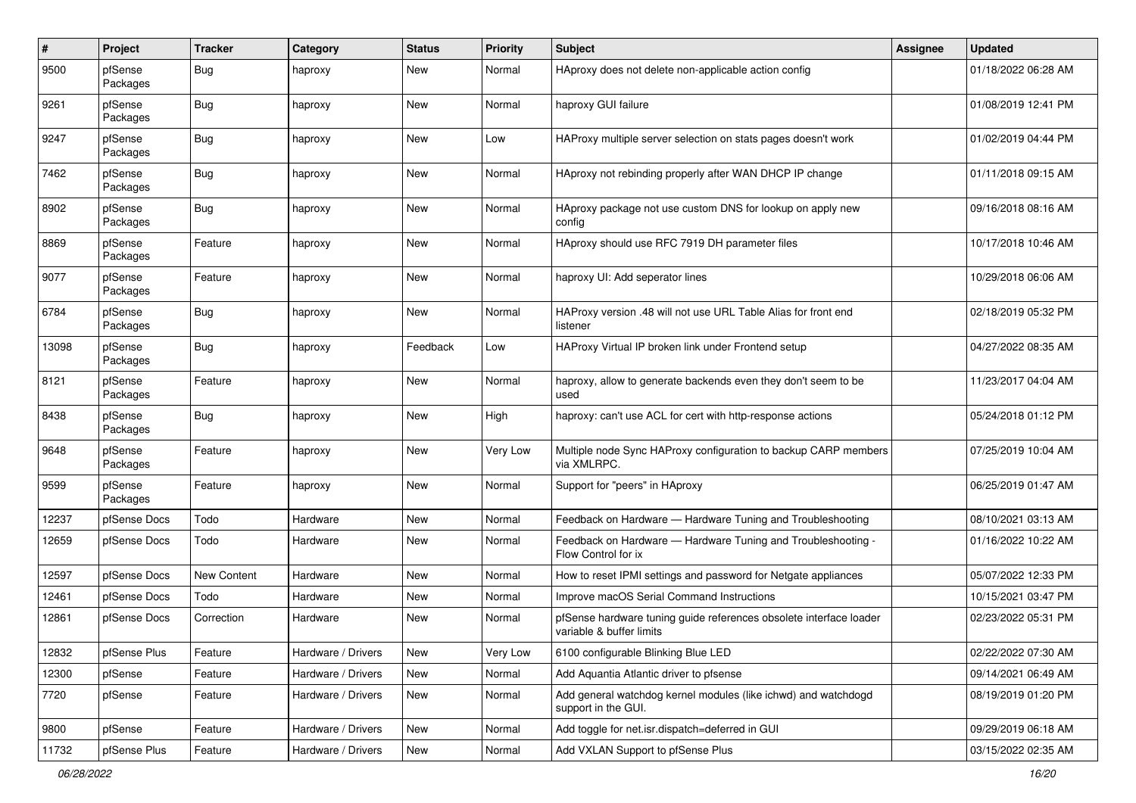| $\pmb{\#}$ | Project             | <b>Tracker</b>     | Category           | <b>Status</b> | <b>Priority</b> | <b>Subject</b>                                                                                 | <b>Assignee</b> | <b>Updated</b>      |
|------------|---------------------|--------------------|--------------------|---------------|-----------------|------------------------------------------------------------------------------------------------|-----------------|---------------------|
| 9500       | pfSense<br>Packages | <b>Bug</b>         | haproxy            | New           | Normal          | HAproxy does not delete non-applicable action config                                           |                 | 01/18/2022 06:28 AM |
| 9261       | pfSense<br>Packages | <b>Bug</b>         | haproxy            | New           | Normal          | haproxy GUI failure                                                                            |                 | 01/08/2019 12:41 PM |
| 9247       | pfSense<br>Packages | <b>Bug</b>         | haproxy            | <b>New</b>    | Low             | HAProxy multiple server selection on stats pages doesn't work                                  |                 | 01/02/2019 04:44 PM |
| 7462       | pfSense<br>Packages | <b>Bug</b>         | haproxy            | New           | Normal          | HAproxy not rebinding properly after WAN DHCP IP change                                        |                 | 01/11/2018 09:15 AM |
| 8902       | pfSense<br>Packages | <b>Bug</b>         | haproxy            | New           | Normal          | HAproxy package not use custom DNS for lookup on apply new<br>config                           |                 | 09/16/2018 08:16 AM |
| 8869       | pfSense<br>Packages | Feature            | haproxy            | New           | Normal          | HAproxy should use RFC 7919 DH parameter files                                                 |                 | 10/17/2018 10:46 AM |
| 9077       | pfSense<br>Packages | Feature            | haproxy            | New           | Normal          | haproxy UI: Add seperator lines                                                                |                 | 10/29/2018 06:06 AM |
| 6784       | pfSense<br>Packages | Bug                | haproxy            | New           | Normal          | HAProxy version .48 will not use URL Table Alias for front end<br>listener                     |                 | 02/18/2019 05:32 PM |
| 13098      | pfSense<br>Packages | <b>Bug</b>         | haproxy            | Feedback      | Low             | HAProxy Virtual IP broken link under Frontend setup                                            |                 | 04/27/2022 08:35 AM |
| 8121       | pfSense<br>Packages | Feature            | haproxy            | <b>New</b>    | Normal          | haproxy, allow to generate backends even they don't seem to be<br>used                         |                 | 11/23/2017 04:04 AM |
| 8438       | pfSense<br>Packages | Bug                | haproxy            | <b>New</b>    | High            | haproxy: can't use ACL for cert with http-response actions                                     |                 | 05/24/2018 01:12 PM |
| 9648       | pfSense<br>Packages | Feature            | haproxy            | <b>New</b>    | Very Low        | Multiple node Sync HAProxy configuration to backup CARP members<br>via XMLRPC.                 |                 | 07/25/2019 10:04 AM |
| 9599       | pfSense<br>Packages | Feature            | haproxy            | New           | Normal          | Support for "peers" in HAproxy                                                                 |                 | 06/25/2019 01:47 AM |
| 12237      | pfSense Docs        | Todo               | Hardware           | New           | Normal          | Feedback on Hardware - Hardware Tuning and Troubleshooting                                     |                 | 08/10/2021 03:13 AM |
| 12659      | pfSense Docs        | Todo               | Hardware           | New           | Normal          | Feedback on Hardware - Hardware Tuning and Troubleshooting -<br>Flow Control for ix            |                 | 01/16/2022 10:22 AM |
| 12597      | pfSense Docs        | <b>New Content</b> | Hardware           | <b>New</b>    | Normal          | How to reset IPMI settings and password for Netgate appliances                                 |                 | 05/07/2022 12:33 PM |
| 12461      | pfSense Docs        | Todo               | Hardware           | New           | Normal          | Improve macOS Serial Command Instructions                                                      |                 | 10/15/2021 03:47 PM |
| 12861      | pfSense Docs        | Correction         | Hardware           | <b>New</b>    | Normal          | pfSense hardware tuning guide references obsolete interface loader<br>variable & buffer limits |                 | 02/23/2022 05:31 PM |
| 12832      | pfSense Plus        | Feature            | Hardware / Drivers | New           | Very Low        | 6100 configurable Blinking Blue LED                                                            |                 | 02/22/2022 07:30 AM |
| 12300      | pfSense             | Feature            | Hardware / Drivers | New           | Normal          | Add Aquantia Atlantic driver to pfsense                                                        |                 | 09/14/2021 06:49 AM |
| 7720       | pfSense             | Feature            | Hardware / Drivers | New           | Normal          | Add general watchdog kernel modules (like ichwd) and watchdogd<br>support in the GUI.          |                 | 08/19/2019 01:20 PM |
| 9800       | pfSense             | Feature            | Hardware / Drivers | New           | Normal          | Add toggle for net.isr.dispatch=deferred in GUI                                                |                 | 09/29/2019 06:18 AM |
| 11732      | pfSense Plus        | Feature            | Hardware / Drivers | New           | Normal          | Add VXLAN Support to pfSense Plus                                                              |                 | 03/15/2022 02:35 AM |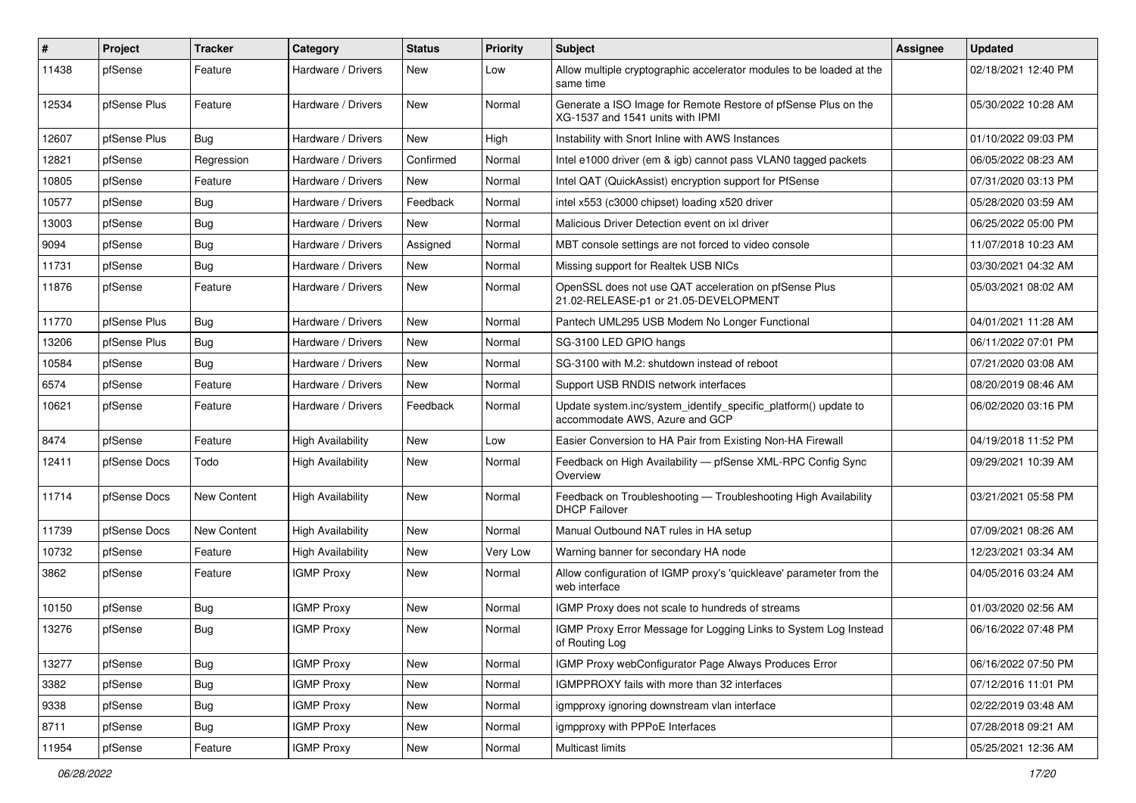| ∦     | Project      | <b>Tracker</b> | Category                 | <b>Status</b> | <b>Priority</b> | Subject                                                                                            | Assignee | <b>Updated</b>      |
|-------|--------------|----------------|--------------------------|---------------|-----------------|----------------------------------------------------------------------------------------------------|----------|---------------------|
| 11438 | pfSense      | Feature        | Hardware / Drivers       | New           | Low             | Allow multiple cryptographic accelerator modules to be loaded at the<br>same time                  |          | 02/18/2021 12:40 PM |
| 12534 | pfSense Plus | Feature        | Hardware / Drivers       | New           | Normal          | Generate a ISO Image for Remote Restore of pfSense Plus on the<br>XG-1537 and 1541 units with IPMI |          | 05/30/2022 10:28 AM |
| 12607 | pfSense Plus | Bug            | Hardware / Drivers       | <b>New</b>    | High            | Instability with Snort Inline with AWS Instances                                                   |          | 01/10/2022 09:03 PM |
| 12821 | pfSense      | Regression     | Hardware / Drivers       | Confirmed     | Normal          | Intel e1000 driver (em & igb) cannot pass VLAN0 tagged packets                                     |          | 06/05/2022 08:23 AM |
| 10805 | pfSense      | Feature        | Hardware / Drivers       | New           | Normal          | Intel QAT (QuickAssist) encryption support for PfSense                                             |          | 07/31/2020 03:13 PM |
| 10577 | pfSense      | Bug            | Hardware / Drivers       | Feedback      | Normal          | intel x553 (c3000 chipset) loading x520 driver                                                     |          | 05/28/2020 03:59 AM |
| 13003 | pfSense      | Bug            | Hardware / Drivers       | New           | Normal          | Malicious Driver Detection event on ixl driver                                                     |          | 06/25/2022 05:00 PM |
| 9094  | pfSense      | <b>Bug</b>     | Hardware / Drivers       | Assigned      | Normal          | MBT console settings are not forced to video console                                               |          | 11/07/2018 10:23 AM |
| 11731 | pfSense      | Bug            | Hardware / Drivers       | New           | Normal          | Missing support for Realtek USB NICs                                                               |          | 03/30/2021 04:32 AM |
| 11876 | pfSense      | Feature        | Hardware / Drivers       | New           | Normal          | OpenSSL does not use QAT acceleration on pfSense Plus<br>21.02-RELEASE-p1 or 21.05-DEVELOPMENT     |          | 05/03/2021 08:02 AM |
| 11770 | pfSense Plus | Bug            | Hardware / Drivers       | New           | Normal          | Pantech UML295 USB Modem No Longer Functional                                                      |          | 04/01/2021 11:28 AM |
| 13206 | pfSense Plus | <b>Bug</b>     | Hardware / Drivers       | New           | Normal          | SG-3100 LED GPIO hangs                                                                             |          | 06/11/2022 07:01 PM |
| 10584 | pfSense      | Bug            | Hardware / Drivers       | New           | Normal          | SG-3100 with M.2: shutdown instead of reboot                                                       |          | 07/21/2020 03:08 AM |
| 6574  | pfSense      | Feature        | Hardware / Drivers       | New           | Normal          | Support USB RNDIS network interfaces                                                               |          | 08/20/2019 08:46 AM |
| 10621 | pfSense      | Feature        | Hardware / Drivers       | Feedback      | Normal          | Update system.inc/system_identify_specific_platform() update to<br>accommodate AWS, Azure and GCP  |          | 06/02/2020 03:16 PM |
| 8474  | pfSense      | Feature        | <b>High Availability</b> | New           | Low             | Easier Conversion to HA Pair from Existing Non-HA Firewall                                         |          | 04/19/2018 11:52 PM |
| 12411 | pfSense Docs | Todo           | <b>High Availability</b> | New           | Normal          | Feedback on High Availability - pfSense XML-RPC Config Sync<br>Overview                            |          | 09/29/2021 10:39 AM |
| 11714 | pfSense Docs | New Content    | <b>High Availability</b> | New           | Normal          | Feedback on Troubleshooting - Troubleshooting High Availability<br><b>DHCP Failover</b>            |          | 03/21/2021 05:58 PM |
| 11739 | pfSense Docs | New Content    | <b>High Availability</b> | New           | Normal          | Manual Outbound NAT rules in HA setup                                                              |          | 07/09/2021 08:26 AM |
| 10732 | pfSense      | Feature        | <b>High Availability</b> | New           | Very Low        | Warning banner for secondary HA node                                                               |          | 12/23/2021 03:34 AM |
| 3862  | pfSense      | Feature        | <b>IGMP Proxy</b>        | New           | Normal          | Allow configuration of IGMP proxy's 'quickleave' parameter from the<br>web interface               |          | 04/05/2016 03:24 AM |
| 10150 | pfSense      | <b>Bug</b>     | <b>IGMP Proxy</b>        | New           | Normal          | IGMP Proxy does not scale to hundreds of streams                                                   |          | 01/03/2020 02:56 AM |
| 13276 | pfSense      | Bug            | <b>IGMP Proxy</b>        | New           | Normal          | IGMP Proxy Error Message for Logging Links to System Log Instead<br>of Routing Log                 |          | 06/16/2022 07:48 PM |
| 13277 | pfSense      | <b>Bug</b>     | <b>IGMP Proxy</b>        | New           | Normal          | IGMP Proxy webConfigurator Page Always Produces Error                                              |          | 06/16/2022 07:50 PM |
| 3382  | pfSense      | Bug            | <b>IGMP Proxy</b>        | New           | Normal          | IGMPPROXY fails with more than 32 interfaces                                                       |          | 07/12/2016 11:01 PM |
| 9338  | pfSense      | <b>Bug</b>     | <b>IGMP Proxy</b>        | New           | Normal          | igmpproxy ignoring downstream vlan interface                                                       |          | 02/22/2019 03:48 AM |
| 8711  | pfSense      | Bug            | <b>IGMP Proxy</b>        | New           | Normal          | igmpproxy with PPPoE Interfaces                                                                    |          | 07/28/2018 09:21 AM |
| 11954 | pfSense      | Feature        | <b>IGMP Proxy</b>        | New           | Normal          | Multicast limits                                                                                   |          | 05/25/2021 12:36 AM |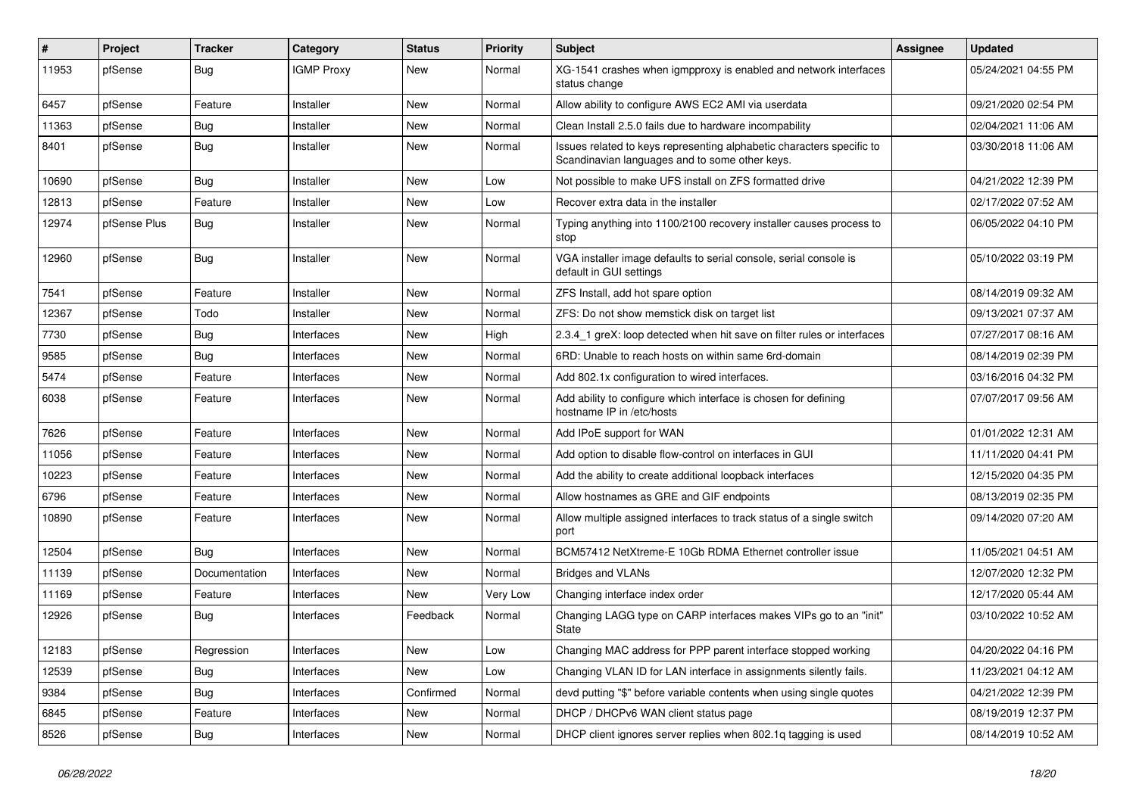| $\vert$ # | Project      | <b>Tracker</b> | Category          | <b>Status</b> | <b>Priority</b> | Subject                                                                                                                 | <b>Assignee</b> | <b>Updated</b>      |
|-----------|--------------|----------------|-------------------|---------------|-----------------|-------------------------------------------------------------------------------------------------------------------------|-----------------|---------------------|
| 11953     | pfSense      | <b>Bug</b>     | <b>IGMP Proxy</b> | New           | Normal          | XG-1541 crashes when igmpproxy is enabled and network interfaces<br>status change                                       |                 | 05/24/2021 04:55 PM |
| 6457      | pfSense      | Feature        | Installer         | New           | Normal          | Allow ability to configure AWS EC2 AMI via userdata                                                                     |                 | 09/21/2020 02:54 PM |
| 11363     | pfSense      | <b>Bug</b>     | Installer         | New           | Normal          | Clean Install 2.5.0 fails due to hardware incompability                                                                 |                 | 02/04/2021 11:06 AM |
| 8401      | pfSense      | Bug            | Installer         | New           | Normal          | Issues related to keys representing alphabetic characters specific to<br>Scandinavian languages and to some other keys. |                 | 03/30/2018 11:06 AM |
| 10690     | pfSense      | <b>Bug</b>     | Installer         | New           | Low             | Not possible to make UFS install on ZFS formatted drive                                                                 |                 | 04/21/2022 12:39 PM |
| 12813     | pfSense      | Feature        | Installer         | <b>New</b>    | Low             | Recover extra data in the installer                                                                                     |                 | 02/17/2022 07:52 AM |
| 12974     | pfSense Plus | Bug            | Installer         | New           | Normal          | Typing anything into 1100/2100 recovery installer causes process to<br>stop                                             |                 | 06/05/2022 04:10 PM |
| 12960     | pfSense      | <b>Bug</b>     | Installer         | New           | Normal          | VGA installer image defaults to serial console, serial console is<br>default in GUI settings                            |                 | 05/10/2022 03:19 PM |
| 7541      | pfSense      | Feature        | Installer         | New           | Normal          | ZFS Install, add hot spare option                                                                                       |                 | 08/14/2019 09:32 AM |
| 12367     | pfSense      | Todo           | Installer         | New           | Normal          | ZFS: Do not show memstick disk on target list                                                                           |                 | 09/13/2021 07:37 AM |
| 7730      | pfSense      | Bug            | Interfaces        | New           | High            | 2.3.4_1 greX: loop detected when hit save on filter rules or interfaces                                                 |                 | 07/27/2017 08:16 AM |
| 9585      | pfSense      | Bug            | Interfaces        | New           | Normal          | 6RD: Unable to reach hosts on within same 6rd-domain                                                                    |                 | 08/14/2019 02:39 PM |
| 5474      | pfSense      | Feature        | Interfaces        | New           | Normal          | Add 802.1x configuration to wired interfaces.                                                                           |                 | 03/16/2016 04:32 PM |
| 6038      | pfSense      | Feature        | Interfaces        | New           | Normal          | Add ability to configure which interface is chosen for defining<br>hostname IP in /etc/hosts                            |                 | 07/07/2017 09:56 AM |
| 7626      | pfSense      | Feature        | Interfaces        | <b>New</b>    | Normal          | Add IPoE support for WAN                                                                                                |                 | 01/01/2022 12:31 AM |
| 11056     | pfSense      | Feature        | Interfaces        | New           | Normal          | Add option to disable flow-control on interfaces in GUI                                                                 |                 | 11/11/2020 04:41 PM |
| 10223     | pfSense      | Feature        | Interfaces        | New           | Normal          | Add the ability to create additional loopback interfaces                                                                |                 | 12/15/2020 04:35 PM |
| 6796      | pfSense      | Feature        | Interfaces        | New           | Normal          | Allow hostnames as GRE and GIF endpoints                                                                                |                 | 08/13/2019 02:35 PM |
| 10890     | pfSense      | Feature        | Interfaces        | New           | Normal          | Allow multiple assigned interfaces to track status of a single switch<br>port                                           |                 | 09/14/2020 07:20 AM |
| 12504     | pfSense      | Bug            | Interfaces        | New           | Normal          | BCM57412 NetXtreme-E 10Gb RDMA Ethernet controller issue                                                                |                 | 11/05/2021 04:51 AM |
| 11139     | pfSense      | Documentation  | Interfaces        | New           | Normal          | <b>Bridges and VLANs</b>                                                                                                |                 | 12/07/2020 12:32 PM |
| 11169     | pfSense      | Feature        | Interfaces        | New           | Very Low        | Changing interface index order                                                                                          |                 | 12/17/2020 05:44 AM |
| 12926     | pfSense      | Bug            | Interfaces        | Feedback      | Normal          | Changing LAGG type on CARP interfaces makes VIPs go to an "init"<br>State                                               |                 | 03/10/2022 10:52 AM |
| 12183     | pfSense      | Regression     | Interfaces        | New           | Low             | Changing MAC address for PPP parent interface stopped working                                                           |                 | 04/20/2022 04:16 PM |
| 12539     | pfSense      | <b>Bug</b>     | Interfaces        | New           | Low             | Changing VLAN ID for LAN interface in assignments silently fails.                                                       |                 | 11/23/2021 04:12 AM |
| 9384      | pfSense      | <b>Bug</b>     | Interfaces        | Confirmed     | Normal          | devd putting "\$" before variable contents when using single quotes                                                     |                 | 04/21/2022 12:39 PM |
| 6845      | pfSense      | Feature        | Interfaces        | New           | Normal          | DHCP / DHCPv6 WAN client status page                                                                                    |                 | 08/19/2019 12:37 PM |
| 8526      | pfSense      | Bug            | Interfaces        | New           | Normal          | DHCP client ignores server replies when 802.1q tagging is used                                                          |                 | 08/14/2019 10:52 AM |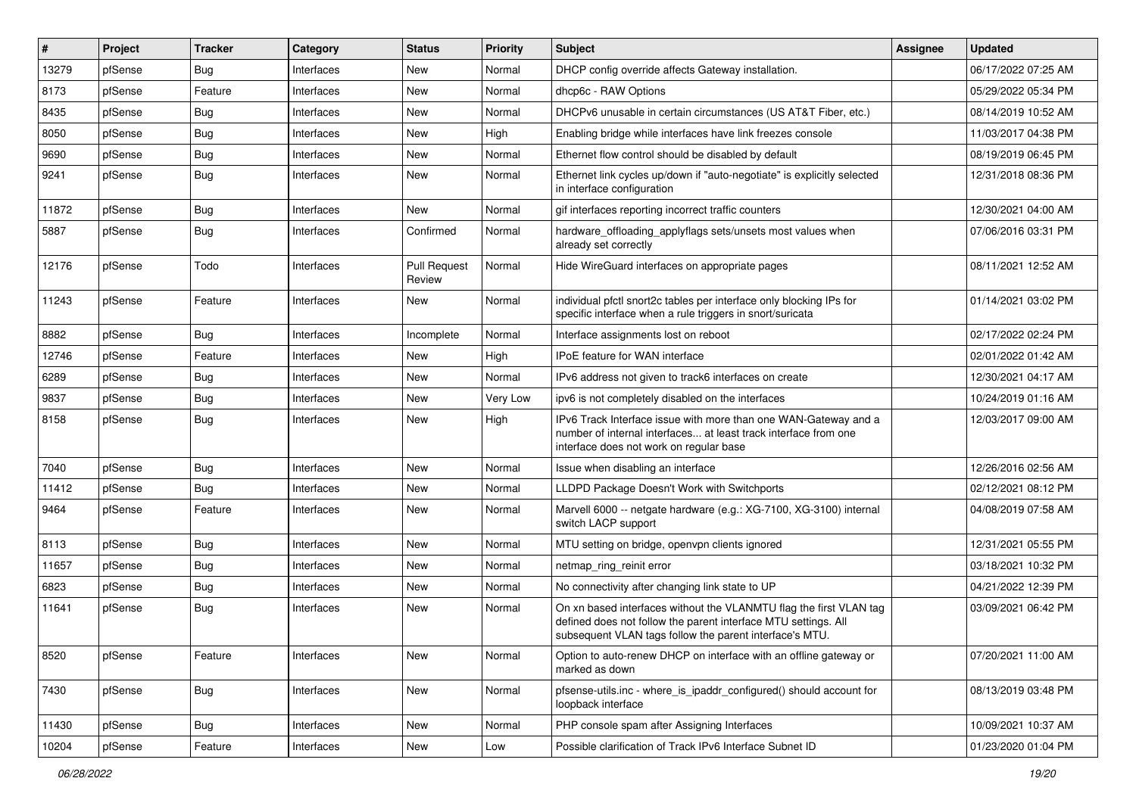| $\pmb{\sharp}$ | Project | <b>Tracker</b> | Category   | <b>Status</b>                 | <b>Priority</b> | Subject                                                                                                                                                                                         | <b>Assignee</b> | <b>Updated</b>      |
|----------------|---------|----------------|------------|-------------------------------|-----------------|-------------------------------------------------------------------------------------------------------------------------------------------------------------------------------------------------|-----------------|---------------------|
| 13279          | pfSense | <b>Bug</b>     | Interfaces | New                           | Normal          | DHCP config override affects Gateway installation.                                                                                                                                              |                 | 06/17/2022 07:25 AM |
| 8173           | pfSense | Feature        | Interfaces | New                           | Normal          | dhcp6c - RAW Options                                                                                                                                                                            |                 | 05/29/2022 05:34 PM |
| 8435           | pfSense | <b>Bug</b>     | Interfaces | New                           | Normal          | DHCPv6 unusable in certain circumstances (US AT&T Fiber, etc.)                                                                                                                                  |                 | 08/14/2019 10:52 AM |
| 8050           | pfSense | Bug            | Interfaces | New                           | High            | Enabling bridge while interfaces have link freezes console                                                                                                                                      |                 | 11/03/2017 04:38 PM |
| 9690           | pfSense | <b>Bug</b>     | Interfaces | New                           | Normal          | Ethernet flow control should be disabled by default                                                                                                                                             |                 | 08/19/2019 06:45 PM |
| 9241           | pfSense | <b>Bug</b>     | Interfaces | New                           | Normal          | Ethernet link cycles up/down if "auto-negotiate" is explicitly selected<br>in interface configuration                                                                                           |                 | 12/31/2018 08:36 PM |
| 11872          | pfSense | Bug            | Interfaces | <b>New</b>                    | Normal          | gif interfaces reporting incorrect traffic counters                                                                                                                                             |                 | 12/30/2021 04:00 AM |
| 5887           | pfSense | <b>Bug</b>     | Interfaces | Confirmed                     | Normal          | hardware_offloading_applyflags sets/unsets most values when<br>already set correctly                                                                                                            |                 | 07/06/2016 03:31 PM |
| 12176          | pfSense | Todo           | Interfaces | <b>Pull Request</b><br>Review | Normal          | Hide WireGuard interfaces on appropriate pages                                                                                                                                                  |                 | 08/11/2021 12:52 AM |
| 11243          | pfSense | Feature        | Interfaces | New                           | Normal          | individual pfctl snort2c tables per interface only blocking IPs for<br>specific interface when a rule triggers in snort/suricata                                                                |                 | 01/14/2021 03:02 PM |
| 8882           | pfSense | Bug            | Interfaces | Incomplete                    | Normal          | Interface assignments lost on reboot                                                                                                                                                            |                 | 02/17/2022 02:24 PM |
| 12746          | pfSense | Feature        | Interfaces | New                           | High            | IPoE feature for WAN interface                                                                                                                                                                  |                 | 02/01/2022 01:42 AM |
| 6289           | pfSense | Bug            | Interfaces | New                           | Normal          | IPv6 address not given to track6 interfaces on create                                                                                                                                           |                 | 12/30/2021 04:17 AM |
| 9837           | pfSense | <b>Bug</b>     | Interfaces | New                           | Very Low        | ipv6 is not completely disabled on the interfaces                                                                                                                                               |                 | 10/24/2019 01:16 AM |
| 8158           | pfSense | Bug            | Interfaces | New                           | High            | IPv6 Track Interface issue with more than one WAN-Gateway and a<br>number of internal interfaces at least track interface from one<br>interface does not work on regular base                   |                 | 12/03/2017 09:00 AM |
| 7040           | pfSense | Bug            | Interfaces | New                           | Normal          | Issue when disabling an interface                                                                                                                                                               |                 | 12/26/2016 02:56 AM |
| 11412          | pfSense | Bug            | Interfaces | New                           | Normal          | LLDPD Package Doesn't Work with Switchports                                                                                                                                                     |                 | 02/12/2021 08:12 PM |
| 9464           | pfSense | Feature        | Interfaces | New                           | Normal          | Marvell 6000 -- netgate hardware (e.g.: XG-7100, XG-3100) internal<br>switch LACP support                                                                                                       |                 | 04/08/2019 07:58 AM |
| 8113           | pfSense | <b>Bug</b>     | Interfaces | New                           | Normal          | MTU setting on bridge, openvpn clients ignored                                                                                                                                                  |                 | 12/31/2021 05:55 PM |
| 11657          | pfSense | Bug            | Interfaces | New                           | Normal          | netmap_ring_reinit error                                                                                                                                                                        |                 | 03/18/2021 10:32 PM |
| 6823           | pfSense | Bug            | Interfaces | New                           | Normal          | No connectivity after changing link state to UP                                                                                                                                                 |                 | 04/21/2022 12:39 PM |
| 11641          | pfSense | Bug            | Interfaces | New                           | Normal          | On xn based interfaces without the VLANMTU flag the first VLAN tag<br>defined does not follow the parent interface MTU settings. All<br>subsequent VLAN tags follow the parent interface's MTU. |                 | 03/09/2021 06:42 PM |
| 8520           | pfSense | Feature        | Interfaces | New                           | Normal          | Option to auto-renew DHCP on interface with an offline gateway or<br>marked as down                                                                                                             |                 | 07/20/2021 11:00 AM |
| 7430           | pfSense | Bug            | Interfaces | New                           | Normal          | pfsense-utils.inc - where is ipaddr configured() should account for<br>loopback interface                                                                                                       |                 | 08/13/2019 03:48 PM |
| 11430          | pfSense | <b>Bug</b>     | Interfaces | New                           | Normal          | PHP console spam after Assigning Interfaces                                                                                                                                                     |                 | 10/09/2021 10:37 AM |
| 10204          | pfSense | Feature        | Interfaces | New                           | Low             | Possible clarification of Track IPv6 Interface Subnet ID                                                                                                                                        |                 | 01/23/2020 01:04 PM |